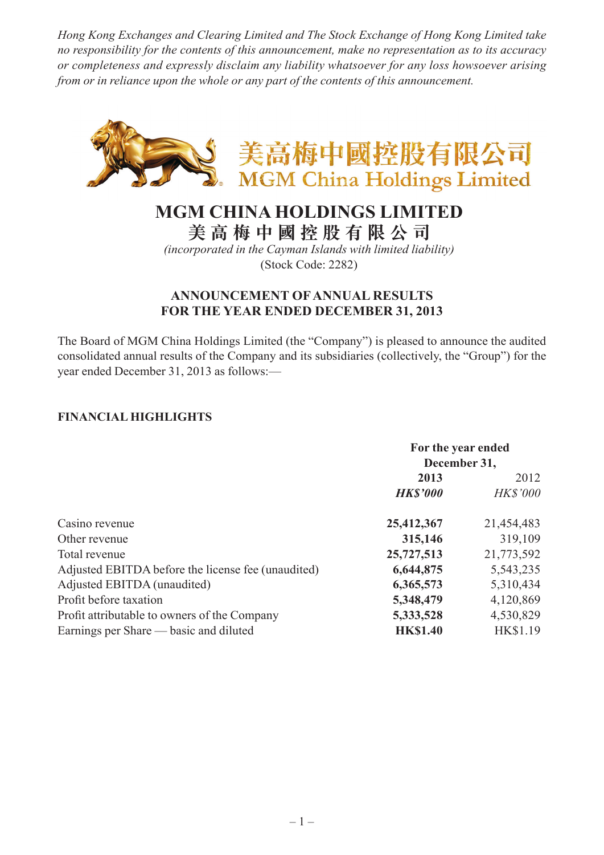*Hong Kong Exchanges and Clearing Limited and The Stock Exchange of Hong Kong Limited take no responsibility for the contents of this announcement, make no representation as to its accuracy or completeness and expressly disclaim any liability whatsoever for any loss howsoever arising from or in reliance upon the whole or any part of the contents of this announcement.*



# **MGM CHINA HOLDINGS LIMITED**

**美 高 梅 中 國 控 股 有 限 公 司**

*(incorporated in the Cayman Islands with limited liability)* (Stock Code: 2282)

### **ANNOUNCEMENT OF ANNUAL RESULTS FOR THE YEAR ENDED DECEMBER 31, 2013**

The Board of MGM China Holdings Limited (the "Company") is pleased to announce the audited consolidated annual results of the Company and its subsidiaries (collectively, the "Group") for the year ended December 31, 2013 as follows:—

### **FINANCIAL HIGHLIGHTS**

|                                                    | For the year ended<br>December 31, |                 |
|----------------------------------------------------|------------------------------------|-----------------|
|                                                    | 2013                               | 2012            |
|                                                    | <b>HK\$'000</b>                    | <b>HK\$'000</b> |
| Casino revenue                                     | 25,412,367                         | 21,454,483      |
| Other revenue                                      | 315,146                            | 319,109         |
| Total revenue                                      | 25,727,513                         | 21,773,592      |
| Adjusted EBITDA before the license fee (unaudited) | 6,644,875                          | 5,543,235       |
| Adjusted EBITDA (unaudited)                        | 6,365,573                          | 5,310,434       |
| Profit before taxation                             | 5,348,479                          | 4,120,869       |
| Profit attributable to owners of the Company       | 5,333,528                          | 4,530,829       |
| Earnings per Share — basic and diluted             | <b>HK\$1.40</b>                    | <b>HK\$1.19</b> |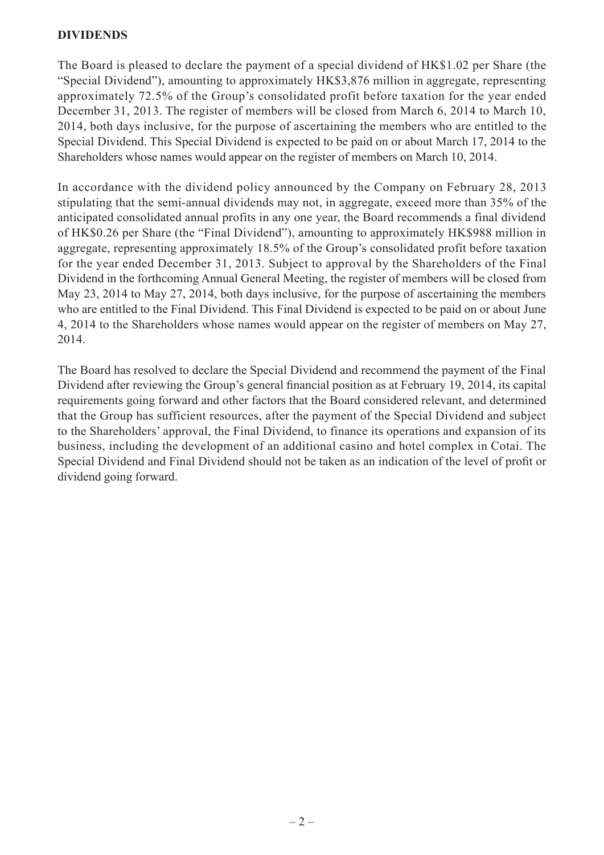#### **DIVIDENDS**

The Board is pleased to declare the payment of a special dividend of HK\$1.02 per Share (the "Special Dividend"), amounting to approximately HK\$3,876 million in aggregate, representing approximately 72.5% of the Group's consolidated profit before taxation for the year ended December 31, 2013. The register of members will be closed from March 6, 2014 to March 10, 2014, both days inclusive, for the purpose of ascertaining the members who are entitled to the Special Dividend. This Special Dividend is expected to be paid on or about March 17, 2014 to the Shareholders whose names would appear on the register of members on March 10, 2014.

In accordance with the dividend policy announced by the Company on February 28, 2013 stipulating that the semi-annual dividends may not, in aggregate, exceed more than 35% of the anticipated consolidated annual profits in any one year, the Board recommends a final dividend of HK\$0.26 per Share (the "Final Dividend"), amounting to approximately HK\$988 million in aggregate, representing approximately 18.5% of the Group's consolidated profit before taxation for the year ended December 31, 2013. Subject to approval by the Shareholders of the Final Dividend in the forthcoming Annual General Meeting, the register of members will be closed from May 23, 2014 to May 27, 2014, both days inclusive, for the purpose of ascertaining the members who are entitled to the Final Dividend. This Final Dividend is expected to be paid on or about June 4, 2014 to the Shareholders whose names would appear on the register of members on May 27, 2014.

The Board has resolved to declare the Special Dividend and recommend the payment of the Final Dividend after reviewing the Group's general financial position as at February 19, 2014, its capital requirements going forward and other factors that the Board considered relevant, and determined that the Group has sufficient resources, after the payment of the Special Dividend and subject to the Shareholders' approval, the Final Dividend, to finance its operations and expansion of its business, including the development of an additional casino and hotel complex in Cotai. The Special Dividend and Final Dividend should not be taken as an indication of the level of profit or dividend going forward.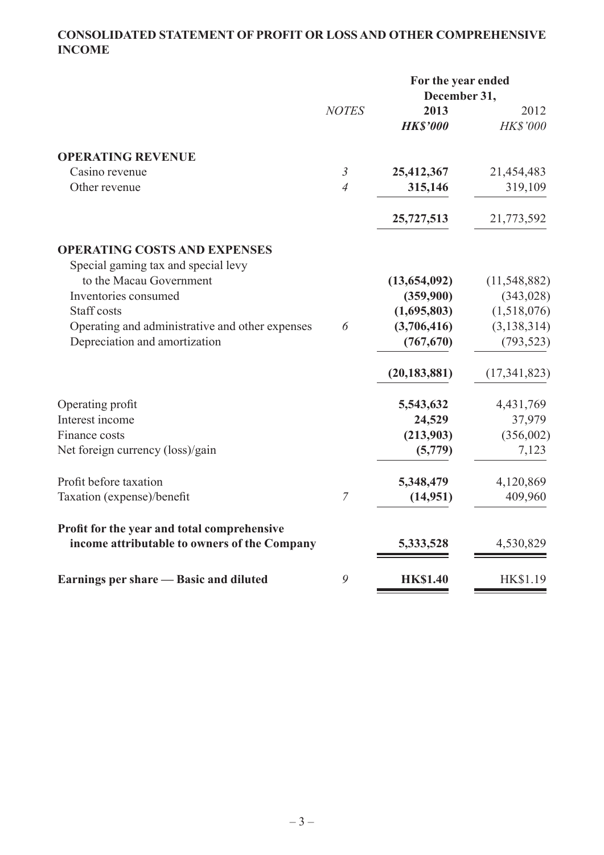# **CONSOLIDATED STATEMENT OF PROFIT OR LOSS AND OTHER COMPREHENSIVE INCOME**

|                                                                                             |                | For the year ended<br>December 31, |                         |
|---------------------------------------------------------------------------------------------|----------------|------------------------------------|-------------------------|
|                                                                                             | <b>NOTES</b>   | 2013<br><b>HK\$'000</b>            | 2012<br><b>HK\$'000</b> |
| <b>OPERATING REVENUE</b>                                                                    |                |                                    |                         |
| Casino revenue                                                                              | $\mathfrak{Z}$ | 25,412,367                         | 21,454,483              |
| Other revenue                                                                               | $\overline{4}$ | 315,146                            | 319,109                 |
|                                                                                             |                | 25,727,513                         | 21,773,592              |
| <b>OPERATING COSTS AND EXPENSES</b>                                                         |                |                                    |                         |
| Special gaming tax and special levy                                                         |                |                                    |                         |
| to the Macau Government                                                                     |                | (13, 654, 092)                     | (11, 548, 882)          |
| Inventories consumed                                                                        |                | (359,900)                          | (343, 028)              |
| Staff costs                                                                                 |                | (1,695,803)                        | (1,518,076)             |
| Operating and administrative and other expenses                                             | 6              | (3,706,416)                        | (3, 138, 314)           |
| Depreciation and amortization                                                               |                | (767, 670)                         | (793, 523)              |
|                                                                                             |                | (20, 183, 881)                     | (17, 341, 823)          |
| Operating profit                                                                            |                | 5,543,632                          | 4,431,769               |
| Interest income                                                                             |                | 24,529                             | 37,979                  |
| Finance costs                                                                               |                | (213,903)                          | (356,002)               |
| Net foreign currency (loss)/gain                                                            |                | (5,779)                            | 7,123                   |
| Profit before taxation                                                                      |                | 5,348,479                          | 4,120,869               |
| Taxation (expense)/benefit                                                                  | $\overline{7}$ | (14, 951)                          | 409,960                 |
| Profit for the year and total comprehensive<br>income attributable to owners of the Company |                | 5,333,528                          | 4,530,829               |
|                                                                                             |                |                                    |                         |
| Earnings per share — Basic and diluted                                                      | 9              | <b>HK\$1.40</b>                    | HK\$1.19                |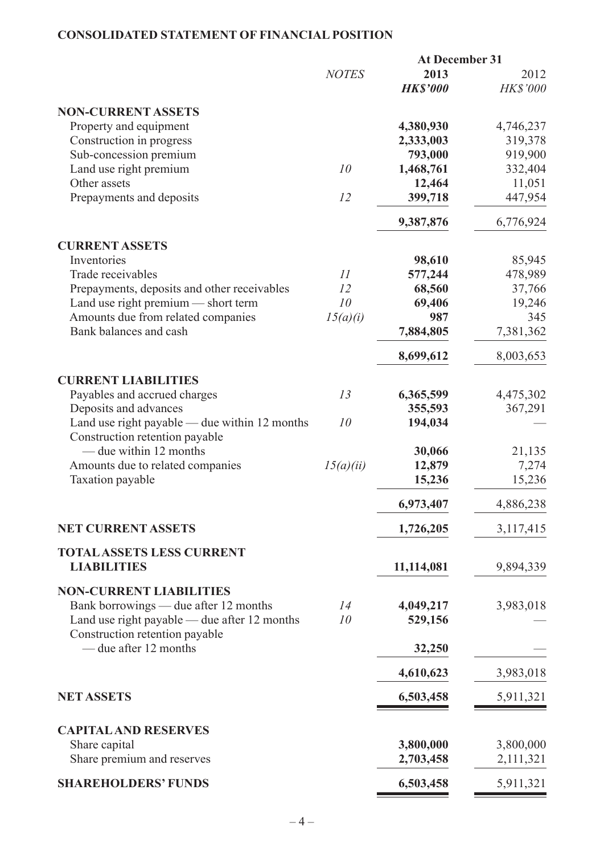# **CONSOLIDATED STATEMENT OF FINANCIAL POSITION**

|                                                         |              | <b>At December 31</b>   |                         |
|---------------------------------------------------------|--------------|-------------------------|-------------------------|
|                                                         | <b>NOTES</b> | 2013<br><b>HK\$'000</b> | 2012<br><b>HK\$'000</b> |
| <b>NON-CURRENT ASSETS</b>                               |              |                         |                         |
| Property and equipment                                  |              | 4,380,930               |                         |
|                                                         |              |                         | 4,746,237               |
| Construction in progress                                |              | 2,333,003               | 319,378                 |
| Sub-concession premium                                  | 10           | 793,000                 | 919,900                 |
| Land use right premium<br>Other assets                  |              | 1,468,761               | 332,404                 |
| Prepayments and deposits                                | 12           | 12,464<br>399,718       | 11,051<br>447,954       |
|                                                         |              | 9,387,876               | 6,776,924               |
| <b>CURRENT ASSETS</b>                                   |              |                         |                         |
| Inventories                                             |              | 98,610                  | 85,945                  |
| Trade receivables                                       | 11           | 577,244                 | 478,989                 |
| Prepayments, deposits and other receivables             | 12           | 68,560                  | 37,766                  |
| Land use right premium — short term                     | 10           | 69,406                  | 19,246                  |
| Amounts due from related companies                      | 15(a)(i)     | 987                     | 345                     |
| Bank balances and cash                                  |              | 7,884,805               | 7,381,362               |
|                                                         |              | 8,699,612               | 8,003,653               |
| <b>CURRENT LIABILITIES</b>                              |              |                         |                         |
| Payables and accrued charges                            | 13           | 6,365,599               | 4,475,302               |
| Deposits and advances                                   |              | 355,593                 | 367,291                 |
| Land use right payable — due within $12$ months         | 10           | 194,034                 |                         |
| Construction retention payable                          |              |                         |                         |
| — due within 12 months                                  |              | 30,066                  | 21,135                  |
| Amounts due to related companies                        | 15(a)(ii)    | 12,879                  | 7,274                   |
| <b>Taxation payable</b>                                 |              | 15,236                  | 15,236                  |
|                                                         |              | 6,973,407               | 4,886,238               |
| <b>NET CURRENT ASSETS</b>                               |              | 1,726,205               | 3,117,415               |
| <b>TOTAL ASSETS LESS CURRENT</b>                        |              |                         |                         |
| <b>LIABILITIES</b>                                      |              | 11,114,081              | 9,894,339               |
| <b>NON-CURRENT LIABILITIES</b>                          |              |                         |                         |
| Bank borrowings — due after 12 months                   | 14           | 4,049,217               | 3,983,018               |
| Land use right payable — due after 12 months            | 10           | 529,156                 |                         |
| Construction retention payable<br>— due after 12 months |              | 32,250                  |                         |
|                                                         |              |                         |                         |
|                                                         |              | 4,610,623               | 3,983,018               |
| <b>NET ASSETS</b>                                       |              | 6,503,458               | 5,911,321               |
| <b>CAPITAL AND RESERVES</b>                             |              |                         |                         |
| Share capital                                           |              | 3,800,000               | 3,800,000               |
| Share premium and reserves                              |              | 2,703,458               | 2,111,321               |
| <b>SHAREHOLDERS' FUNDS</b>                              |              | 6,503,458               | 5,911,321               |
|                                                         |              |                         |                         |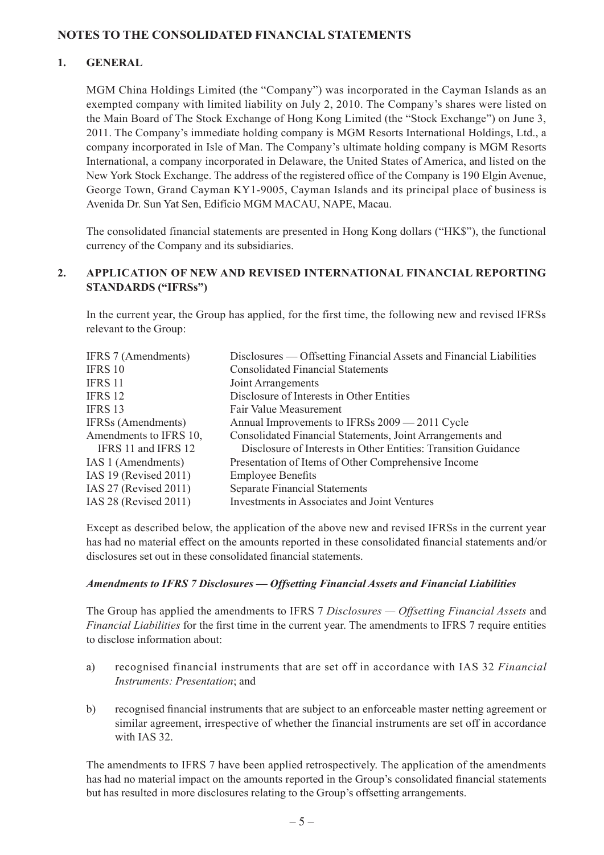#### **NOTES TO THE CONSOLIDATED FINANCIAL STATEMENTS**

#### **1. GENERAL**

MGM China Holdings Limited (the "Company") was incorporated in the Cayman Islands as an exempted company with limited liability on July 2, 2010. The Company's shares were listed on the Main Board of The Stock Exchange of Hong Kong Limited (the "Stock Exchange") on June 3, 2011. The Company's immediate holding company is MGM Resorts International Holdings, Ltd., a company incorporated in Isle of Man. The Company's ultimate holding company is MGM Resorts International, a company incorporated in Delaware, the United States of America, and listed on the New York Stock Exchange. The address of the registered office of the Company is 190 Elgin Avenue, George Town, Grand Cayman KY1-9005, Cayman Islands and its principal place of business is Avenida Dr. Sun Yat Sen, Edifício MGM MACAU, NAPE, Macau.

The consolidated financial statements are presented in Hong Kong dollars ("HK\$"), the functional currency of the Company and its subsidiaries.

#### **2. APPLICATION OF NEW AND REVISED INTERNATIONAL FINANCIAL REPORTING STANDARDS ("IFRSs")**

In the current year, the Group has applied, for the first time, the following new and revised IFRSs relevant to the Group:

| IFRS 7 (Amendments)       | Disclosures — Offsetting Financial Assets and Financial Liabilities |
|---------------------------|---------------------------------------------------------------------|
| <b>IFRS 10</b>            | <b>Consolidated Financial Statements</b>                            |
| <b>IFRS 11</b>            | Joint Arrangements                                                  |
| <b>IFRS 12</b>            | Disclosure of Interests in Other Entities                           |
| <b>IFRS 13</b>            | Fair Value Measurement                                              |
| <b>IFRSs</b> (Amendments) | Annual Improvements to IFRSs 2009 — 2011 Cycle                      |
| Amendments to IFRS 10,    | Consolidated Financial Statements, Joint Arrangements and           |
| IFRS 11 and IFRS 12       | Disclosure of Interests in Other Entities: Transition Guidance      |
| IAS 1 (Amendments)        | Presentation of Items of Other Comprehensive Income                 |
| IAS 19 (Revised 2011)     | <b>Employee Benefits</b>                                            |
| IAS 27 (Revised 2011)     | <b>Separate Financial Statements</b>                                |
| IAS 28 (Revised 2011)     | <b>Investments in Associates and Joint Ventures</b>                 |
|                           |                                                                     |

Except as described below, the application of the above new and revised IFRSs in the current year has had no material effect on the amounts reported in these consolidated financial statements and/or disclosures set out in these consolidated financial statements.

#### *Amendments to IFRS 7 Disclosures — Offsetting Financial Assets and Financial Liabilities*

The Group has applied the amendments to IFRS 7 *Disclosures — Offsetting Financial Assets* and *Financial Liabilities* for the first time in the current year. The amendments to IFRS 7 require entities to disclose information about:

- a) recognised financial instruments that are set off in accordance with IAS 32 *Financial Instruments: Presentation*; and
- b) recognised financial instruments that are subject to an enforceable master netting agreement or similar agreement, irrespective of whether the financial instruments are set off in accordance with IAS 32.

The amendments to IFRS 7 have been applied retrospectively. The application of the amendments has had no material impact on the amounts reported in the Group's consolidated financial statements but has resulted in more disclosures relating to the Group's offsetting arrangements.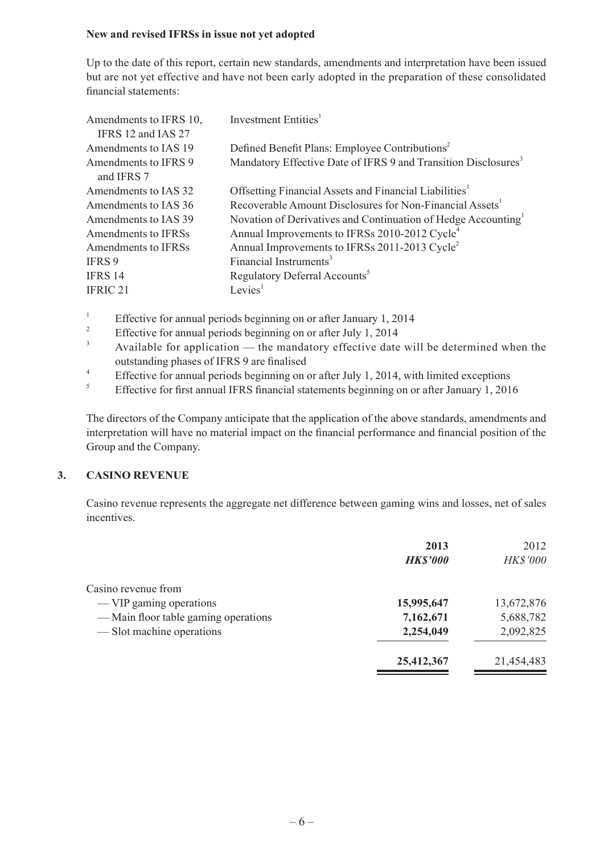#### **New and revised IFRSs in issue not yet adopted**

Up to the date of this report, certain new standards, amendments and interpretation have been issued but are not yet effective and have not been early adopted in the preparation of these consolidated financial statements:

| Investment Entities <sup>1</sup>                                           |
|----------------------------------------------------------------------------|
| Defined Benefit Plans: Employee Contributions <sup>2</sup>                 |
| Mandatory Effective Date of IFRS 9 and Transition Disclosures <sup>3</sup> |
|                                                                            |
| Offsetting Financial Assets and Financial Liabilities <sup>1</sup>         |
| Recoverable Amount Disclosures for Non-Financial Assets <sup>1</sup>       |
| Novation of Derivatives and Continuation of Hedge Accounting               |
| Annual Improvements to IFRSs 2010-2012 Cycle <sup>4</sup>                  |
| Annual Improvements to IFRSs 2011-2013 Cycle <sup>2</sup>                  |
| Financial Instruments <sup>3</sup>                                         |
| Regulatory Deferral Accounts <sup>5</sup>                                  |
| Levies <sup>1</sup>                                                        |
|                                                                            |

- <sup>1</sup> Effective for annual periods beginning on or after January 1, 2014<br><sup>2</sup> Effective for annual periods beginning on or after July 1, 2014
- <sup>2</sup> Effective for annual periods beginning on or after July 1, 2014
- Available for application the mandatory effective date will be determined when the outstanding phases of IFRS 9 are finalised
- <sup>4</sup> Effective for annual periods beginning on or after July 1, 2014, with limited exceptions<br><sup>5</sup>
- <sup>5</sup> Effective for first annual IFRS financial statements beginning on or after January 1, 2016

The directors of the Company anticipate that the application of the above standards, amendments and interpretation will have no material impact on the financial performance and financial position of the Group and the Company.

#### **3. CASINO REVENUE**

Casino revenue represents the aggregate net difference between gaming wins and losses, net of sales incentives.

|                                      | 2013<br><b>HK\$'000</b> | 2012<br>HK\$'000 |
|--------------------------------------|-------------------------|------------------|
| Casino revenue from                  |                         |                  |
| — VIP gaming operations              | 15,995,647              | 13,672,876       |
| — Main floor table gaming operations | 7,162,671               | 5,688,782        |
| — Slot machine operations            | 2,254,049               | 2,092,825        |
|                                      | 25,412,367              | 21,454,483       |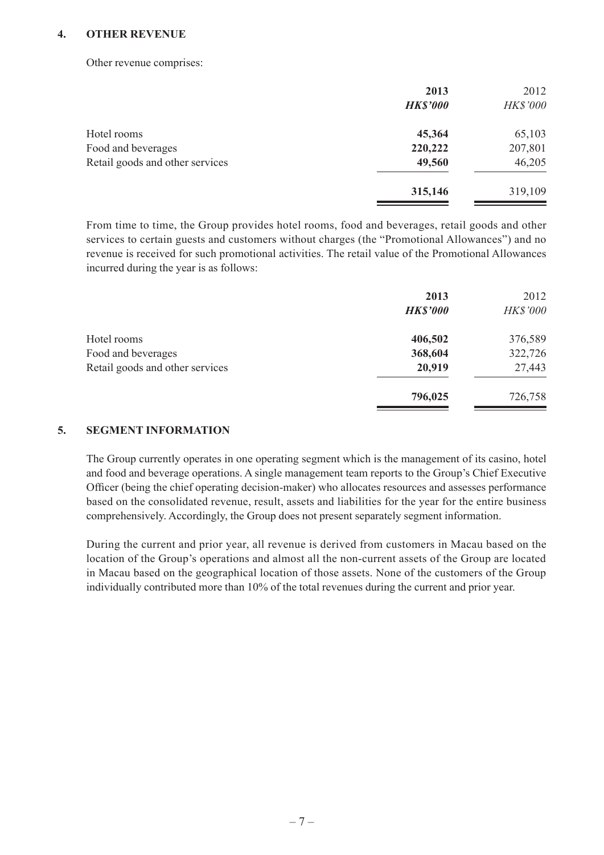#### **4. OTHER REVENUE**

Other revenue comprises:

|                                 | 2013<br><b>HK\$'000</b> | 2012<br>HK\$'000 |
|---------------------------------|-------------------------|------------------|
|                                 |                         |                  |
| Hotel rooms                     | 45,364                  | 65,103           |
| Food and beverages              | 220,222                 | 207,801          |
| Retail goods and other services | 49,560                  | 46,205           |
|                                 | 315,146                 | 319,109          |

From time to time, the Group provides hotel rooms, food and beverages, retail goods and other services to certain guests and customers without charges (the "Promotional Allowances") and no revenue is received for such promotional activities. The retail value of the Promotional Allowances incurred during the year is as follows:

|                                 | 2013            | 2012     |
|---------------------------------|-----------------|----------|
|                                 | <b>HK\$'000</b> | HK\$'000 |
| Hotel rooms                     | 406,502         | 376,589  |
| Food and beverages              | 368,604         | 322,726  |
| Retail goods and other services | 20,919          | 27,443   |
|                                 | 796,025         | 726,758  |
|                                 |                 |          |

#### **5. SEGMENT INFORMATION**

The Group currently operates in one operating segment which is the management of its casino, hotel and food and beverage operations. A single management team reports to the Group's Chief Executive Officer (being the chief operating decision-maker) who allocates resources and assesses performance based on the consolidated revenue, result, assets and liabilities for the year for the entire business comprehensively. Accordingly, the Group does not present separately segment information.

During the current and prior year, all revenue is derived from customers in Macau based on the location of the Group's operations and almost all the non-current assets of the Group are located in Macau based on the geographical location of those assets. None of the customers of the Group individually contributed more than 10% of the total revenues during the current and prior year.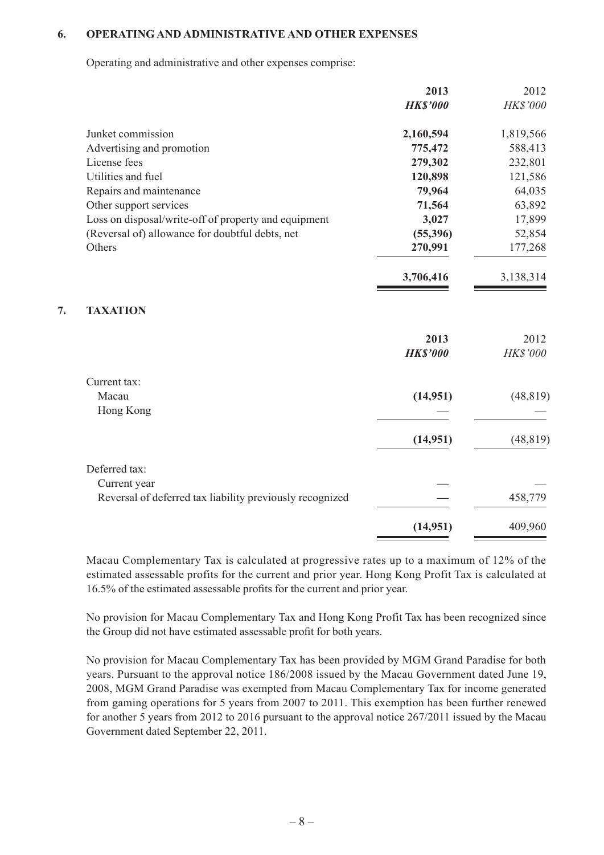#### **6. OPERATING AND ADMINISTRATIVE AND OTHER EXPENSES**

Operating and administrative and other expenses comprise:

|    |                                                          | 2013            | 2012            |
|----|----------------------------------------------------------|-----------------|-----------------|
|    |                                                          | <b>HK\$'000</b> | <b>HK\$'000</b> |
|    | Junket commission                                        | 2,160,594       | 1,819,566       |
|    | Advertising and promotion                                | 775,472         | 588,413         |
|    | License fees                                             | 279,302         | 232,801         |
|    | Utilities and fuel                                       | 120,898         | 121,586         |
|    | Repairs and maintenance                                  | 79,964          | 64,035          |
|    | Other support services                                   | 71,564          | 63,892          |
|    | Loss on disposal/write-off of property and equipment     | 3,027           | 17,899          |
|    | (Reversal of) allowance for doubtful debts, net          | (55, 396)       | 52,854          |
|    | Others                                                   | 270,991         | 177,268         |
|    |                                                          | 3,706,416       | 3,138,314       |
| 7. | <b>TAXATION</b>                                          |                 |                 |
|    |                                                          | 2013            | 2012            |
|    |                                                          | <b>HK\$'000</b> | HK\$'000        |
|    | Current tax:                                             |                 |                 |
|    | Macau                                                    | (14,951)        | (48, 819)       |
|    | Hong Kong                                                |                 |                 |
|    |                                                          | (14,951)        | (48, 819)       |
|    | Deferred tax:                                            |                 |                 |
|    | Current year                                             |                 |                 |
|    | Reversal of deferred tax liability previously recognized |                 | 458,779         |
|    |                                                          | (14, 951)       | 409,960         |
|    |                                                          |                 |                 |

Macau Complementary Tax is calculated at progressive rates up to a maximum of 12% of the estimated assessable profits for the current and prior year. Hong Kong Profit Tax is calculated at 16.5% of the estimated assessable profits for the current and prior year.

No provision for Macau Complementary Tax and Hong Kong Profit Tax has been recognized since the Group did not have estimated assessable profit for both years.

No provision for Macau Complementary Tax has been provided by MGM Grand Paradise for both years. Pursuant to the approval notice 186/2008 issued by the Macau Government dated June 19, 2008, MGM Grand Paradise was exempted from Macau Complementary Tax for income generated from gaming operations for 5 years from 2007 to 2011. This exemption has been further renewed for another 5 years from 2012 to 2016 pursuant to the approval notice 267/2011 issued by the Macau Government dated September 22, 2011.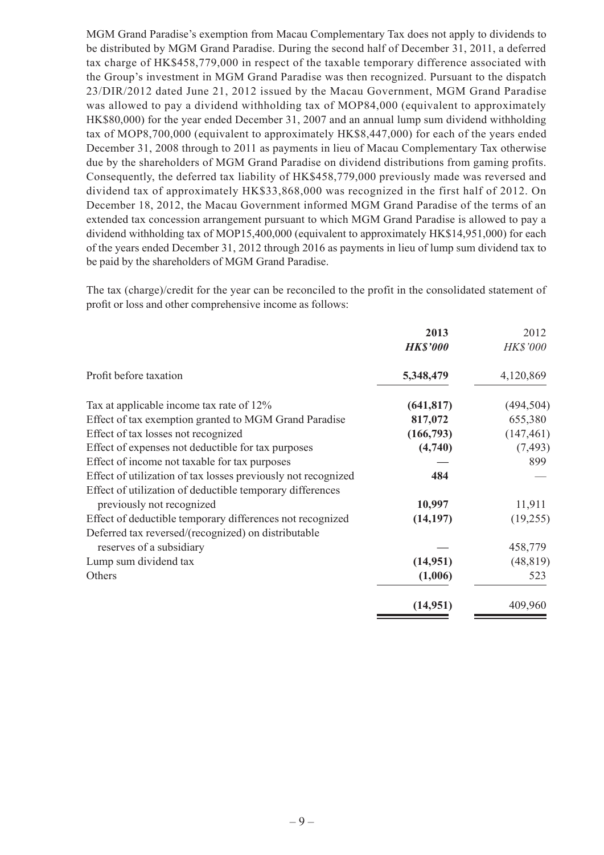MGM Grand Paradise's exemption from Macau Complementary Tax does not apply to dividends to be distributed by MGM Grand Paradise. During the second half of December 31, 2011, a deferred tax charge of HK\$458,779,000 in respect of the taxable temporary difference associated with the Group's investment in MGM Grand Paradise was then recognized. Pursuant to the dispatch 23/DIR/2012 dated June 21, 2012 issued by the Macau Government, MGM Grand Paradise was allowed to pay a dividend withholding tax of MOP84,000 (equivalent to approximately HK\$80,000) for the year ended December 31, 2007 and an annual lump sum dividend withholding tax of MOP8,700,000 (equivalent to approximately HK\$8,447,000) for each of the years ended December 31, 2008 through to 2011 as payments in lieu of Macau Complementary Tax otherwise due by the shareholders of MGM Grand Paradise on dividend distributions from gaming profits. Consequently, the deferred tax liability of HK\$458,779,000 previously made was reversed and dividend tax of approximately HK\$33,868,000 was recognized in the first half of 2012. On December 18, 2012, the Macau Government informed MGM Grand Paradise of the terms of an extended tax concession arrangement pursuant to which MGM Grand Paradise is allowed to pay a dividend withholding tax of MOP15,400,000 (equivalent to approximately HK\$14,951,000) for each of the years ended December 31, 2012 through 2016 as payments in lieu of lump sum dividend tax to be paid by the shareholders of MGM Grand Paradise.

The tax (charge)/credit for the year can be reconciled to the profit in the consolidated statement of profit or loss and other comprehensive income as follows:

| 2013            | 2012            |
|-----------------|-----------------|
| <b>HK\$'000</b> | <b>HK\$'000</b> |
| 5,348,479       | 4,120,869       |
| (641, 817)      | (494, 504)      |
| 817,072         | 655,380         |
| (166, 793)      | (147, 461)      |
| (4,740)         | (7, 493)        |
|                 | 899             |
| 484             |                 |
|                 |                 |
| 10,997          | 11,911          |
| (14, 197)       | (19,255)        |
|                 |                 |
|                 | 458,779         |
| (14,951)        | (48, 819)       |
| (1,006)         | 523             |
| (14,951)        | 409,960         |
|                 |                 |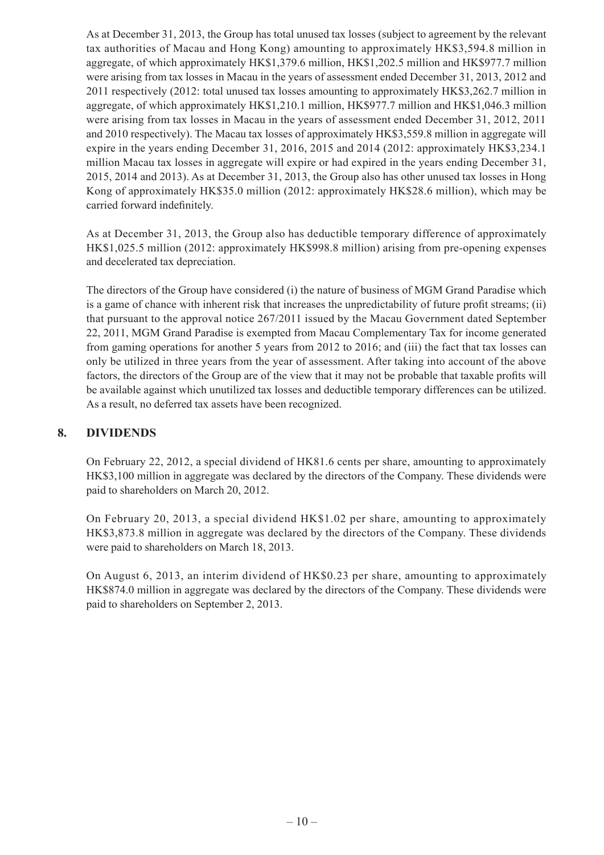As at December 31, 2013, the Group has total unused tax losses (subject to agreement by the relevant tax authorities of Macau and Hong Kong) amounting to approximately HK\$3,594.8 million in aggregate, of which approximately HK\$1,379.6 million, HK\$1,202.5 million and HK\$977.7 million were arising from tax losses in Macau in the years of assessment ended December 31, 2013, 2012 and 2011 respectively (2012: total unused tax losses amounting to approximately HK\$3,262.7 million in aggregate, of which approximately HK\$1,210.1 million, HK\$977.7 million and HK\$1,046.3 million were arising from tax losses in Macau in the years of assessment ended December 31, 2012, 2011 and 2010 respectively). The Macau tax losses of approximately HK\$3,559.8 million in aggregate will expire in the years ending December 31, 2016, 2015 and 2014 (2012: approximately HK\$3,234.1 million Macau tax losses in aggregate will expire or had expired in the years ending December 31, 2015, 2014 and 2013). As at December 31, 2013, the Group also has other unused tax losses in Hong Kong of approximately HK\$35.0 million (2012: approximately HK\$28.6 million), which may be carried forward indefinitely.

As at December 31, 2013, the Group also has deductible temporary difference of approximately HK\$1,025.5 million (2012: approximately HK\$998.8 million) arising from pre-opening expenses and decelerated tax depreciation.

The directors of the Group have considered (i) the nature of business of MGM Grand Paradise which is a game of chance with inherent risk that increases the unpredictability of future profit streams; (ii) that pursuant to the approval notice 267/2011 issued by the Macau Government dated September 22, 2011, MGM Grand Paradise is exempted from Macau Complementary Tax for income generated from gaming operations for another 5 years from 2012 to 2016; and (iii) the fact that tax losses can only be utilized in three years from the year of assessment. After taking into account of the above factors, the directors of the Group are of the view that it may not be probable that taxable profits will be available against which unutilized tax losses and deductible temporary differences can be utilized. As a result, no deferred tax assets have been recognized.

#### **8. DIVIDENDS**

On February 22, 2012, a special dividend of HK81.6 cents per share, amounting to approximately HK\$3,100 million in aggregate was declared by the directors of the Company. These dividends were paid to shareholders on March 20, 2012.

On February 20, 2013, a special dividend HK\$1.02 per share, amounting to approximately HK\$3,873.8 million in aggregate was declared by the directors of the Company. These dividends were paid to shareholders on March 18, 2013.

On August 6, 2013, an interim dividend of HK\$0.23 per share, amounting to approximately HK\$874.0 million in aggregate was declared by the directors of the Company. These dividends were paid to shareholders on September 2, 2013.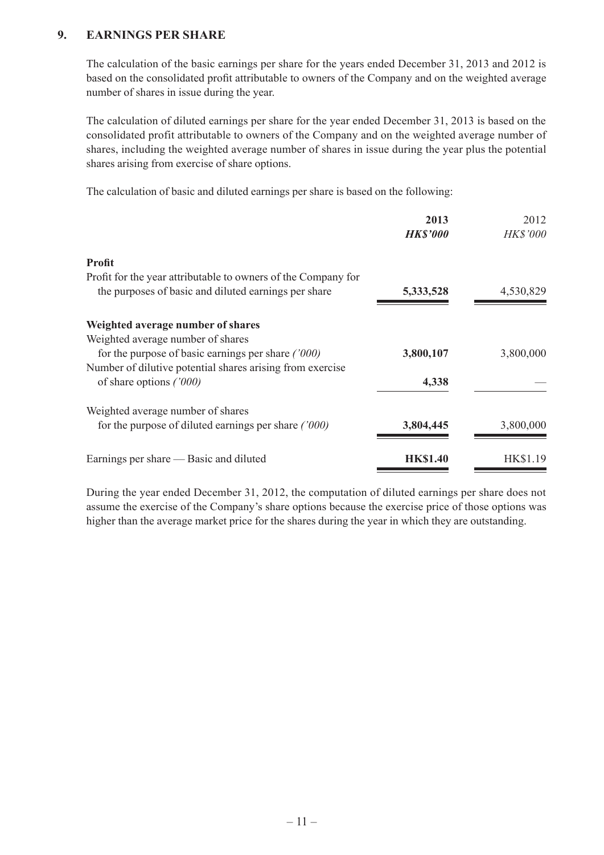#### **9. EARNINGS PER SHARE**

The calculation of the basic earnings per share for the years ended December 31, 2013 and 2012 is based on the consolidated profit attributable to owners of the Company and on the weighted average number of shares in issue during the year.

The calculation of diluted earnings per share for the year ended December 31, 2013 is based on the consolidated profit attributable to owners of the Company and on the weighted average number of shares, including the weighted average number of shares in issue during the year plus the potential shares arising from exercise of share options.

The calculation of basic and diluted earnings per share is based on the following:

| 2013<br><b>HK\$'000</b> | 2012<br><b>HK\$'000</b> |
|-------------------------|-------------------------|
|                         |                         |
|                         |                         |
| 5,333,528               | 4,530,829               |
|                         |                         |
|                         |                         |
| 3,800,107               | 3,800,000               |
|                         |                         |
| 4,338                   |                         |
|                         |                         |
| 3,804,445               | 3,800,000               |
| <b>HK\$1.40</b>         | HK\$1.19                |
|                         |                         |

During the year ended December 31, 2012, the computation of diluted earnings per share does not assume the exercise of the Company's share options because the exercise price of those options was higher than the average market price for the shares during the year in which they are outstanding.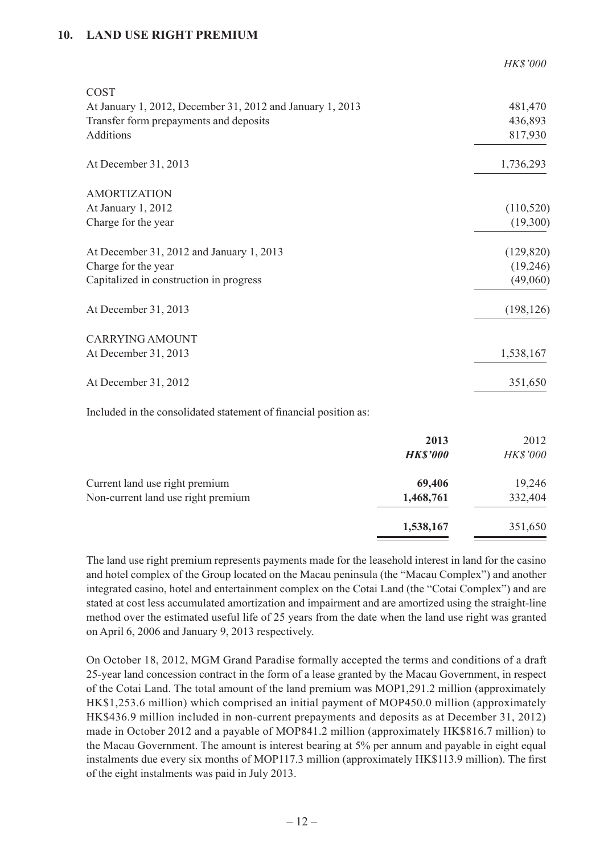#### **10. LAND USE RIGHT PREMIUM**

| <b>HK\$'000</b> |
|-----------------|
|                 |
| 481,470         |
| 436,893         |
| 817,930         |
| 1,736,293       |
|                 |
| (110, 520)      |
| (19,300)        |
| (129, 820)      |
| (19,246)        |
| (49,060)        |
| (198, 126)      |
|                 |
| 1,538,167       |
| 351,650         |
|                 |

Included in the consolidated statement of financial position as:

|                                                                      | 2013<br><b>HK\$'000</b> | 2012<br><b>HK\$'000</b> |
|----------------------------------------------------------------------|-------------------------|-------------------------|
| Current land use right premium<br>Non-current land use right premium | 69,406<br>1,468,761     | 19,246<br>332,404       |
|                                                                      | 1,538,167               | 351,650                 |

The land use right premium represents payments made for the leasehold interest in land for the casino and hotel complex of the Group located on the Macau peninsula (the "Macau Complex") and another integrated casino, hotel and entertainment complex on the Cotai Land (the "Cotai Complex") and are stated at cost less accumulated amortization and impairment and are amortized using the straight-line method over the estimated useful life of 25 years from the date when the land use right was granted on April 6, 2006 and January 9, 2013 respectively.

On October 18, 2012, MGM Grand Paradise formally accepted the terms and conditions of a draft 25-year land concession contract in the form of a lease granted by the Macau Government, in respect of the Cotai Land. The total amount of the land premium was MOP1,291.2 million (approximately HK\$1,253.6 million) which comprised an initial payment of MOP450.0 million (approximately HK\$436.9 million included in non-current prepayments and deposits as at December 31, 2012) made in October 2012 and a payable of MOP841.2 million (approximately HK\$816.7 million) to the Macau Government. The amount is interest bearing at 5% per annum and payable in eight equal instalments due every six months of MOP117.3 million (approximately HK\$113.9 million). The first of the eight instalments was paid in July 2013.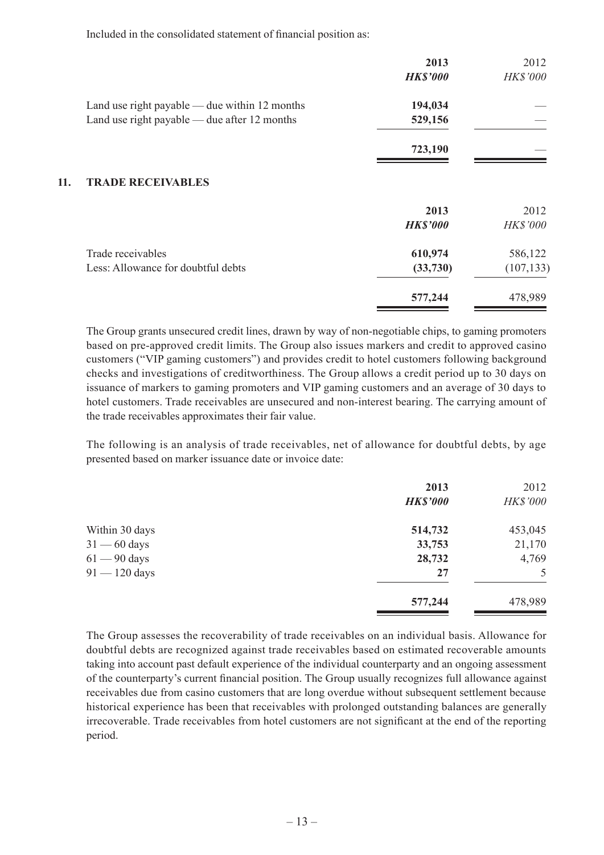Included in the consolidated statement of financial position as:

|     |                                                 | 2013<br><b>HK\$'000</b> | 2012<br>HK\$'000 |
|-----|-------------------------------------------------|-------------------------|------------------|
|     | Land use right payable — due within $12$ months | 194,034                 |                  |
|     | Land use right payable — due after 12 months    | 529,156                 |                  |
|     |                                                 | 723,190                 |                  |
| 11. | <b>TRADE RECEIVABLES</b>                        |                         |                  |
|     |                                                 | 2013                    | 2012             |
|     |                                                 | <b>HK\$'000</b>         | <b>HK\$'000</b>  |
|     | Trade receivables                               | 610,974                 | 586,122          |
|     | Less: Allowance for doubtful debts              | (33,730)                | (107, 133)       |
|     |                                                 | 577,244                 | 478,989          |

The Group grants unsecured credit lines, drawn by way of non-negotiable chips, to gaming promoters based on pre-approved credit limits. The Group also issues markers and credit to approved casino customers ("VIP gaming customers") and provides credit to hotel customers following background checks and investigations of creditworthiness. The Group allows a credit period up to 30 days on issuance of markers to gaming promoters and VIP gaming customers and an average of 30 days to hotel customers. Trade receivables are unsecured and non-interest bearing. The carrying amount of the trade receivables approximates their fair value.

The following is an analysis of trade receivables, net of allowance for doubtful debts, by age presented based on marker issuance date or invoice date:

|                 | 2013            | 2012     |
|-----------------|-----------------|----------|
|                 | <b>HK\$'000</b> | HK\$'000 |
| Within 30 days  | 514,732         | 453,045  |
| $31 - 60$ days  | 33,753          | 21,170   |
| $61 - 90$ days  | 28,732          | 4,769    |
| $91 - 120$ days | 27              | 5        |
|                 | 577,244         | 478,989  |

The Group assesses the recoverability of trade receivables on an individual basis. Allowance for doubtful debts are recognized against trade receivables based on estimated recoverable amounts taking into account past default experience of the individual counterparty and an ongoing assessment of the counterparty's current financial position. The Group usually recognizes full allowance against receivables due from casino customers that are long overdue without subsequent settlement because historical experience has been that receivables with prolonged outstanding balances are generally irrecoverable. Trade receivables from hotel customers are not significant at the end of the reporting period.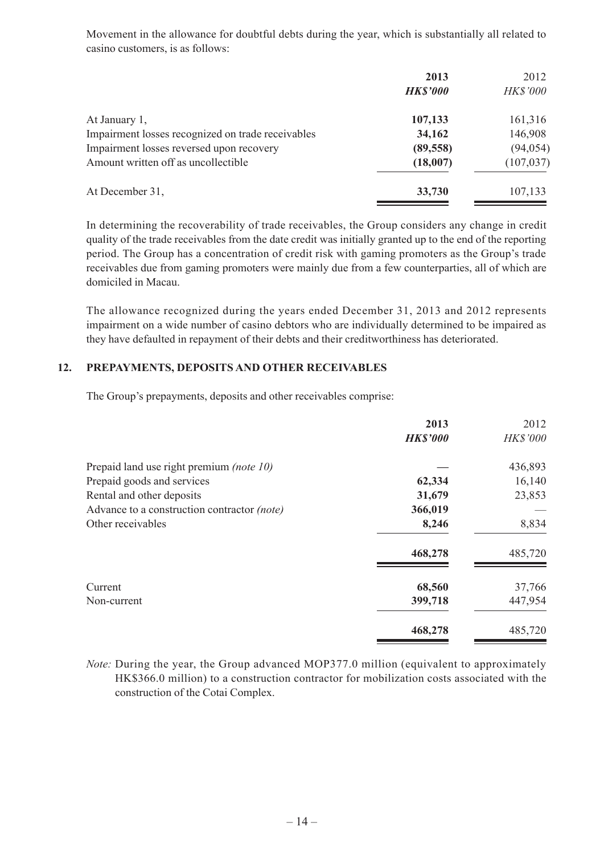Movement in the allowance for doubtful debts during the year, which is substantially all related to casino customers, is as follows:

|                                                   | 2013            | 2012            |
|---------------------------------------------------|-----------------|-----------------|
|                                                   | <b>HK\$'000</b> | <b>HK\$'000</b> |
| At January 1,                                     | 107,133         | 161,316         |
| Impairment losses recognized on trade receivables | 34,162          | 146,908         |
| Impairment losses reversed upon recovery          | (89, 558)       | (94, 054)       |
| Amount written off as uncollectible               | (18,007)        | (107, 037)      |
| At December 31,                                   | 33,730          | 107,133         |

In determining the recoverability of trade receivables, the Group considers any change in credit quality of the trade receivables from the date credit was initially granted up to the end of the reporting period. The Group has a concentration of credit risk with gaming promoters as the Group's trade receivables due from gaming promoters were mainly due from a few counterparties, all of which are domiciled in Macau.

The allowance recognized during the years ended December 31, 2013 and 2012 represents impairment on a wide number of casino debtors who are individually determined to be impaired as they have defaulted in repayment of their debts and their creditworthiness has deteriorated.

#### **12. PREPAYMENTS, DEPOSITS AND OTHER RECEIVABLES**

The Group's prepayments, deposits and other receivables comprise:

|                                             | 2013<br><b>HK\$'000</b> | 2012<br><b>HK\$'000</b> |
|---------------------------------------------|-------------------------|-------------------------|
| Prepaid land use right premium (note 10)    |                         | 436,893                 |
| Prepaid goods and services                  | 62,334                  | 16,140                  |
| Rental and other deposits                   | 31,679                  | 23,853                  |
| Advance to a construction contractor (note) | 366,019                 |                         |
| Other receivables                           | 8,246                   | 8,834                   |
|                                             | 468,278                 | 485,720                 |
| Current                                     | 68,560                  | 37,766                  |
| Non-current                                 | 399,718                 | 447,954                 |
|                                             | 468,278                 | 485,720                 |

*Note:* During the year, the Group advanced MOP377.0 million (equivalent to approximately HK\$366.0 million) to a construction contractor for mobilization costs associated with the construction of the Cotai Complex.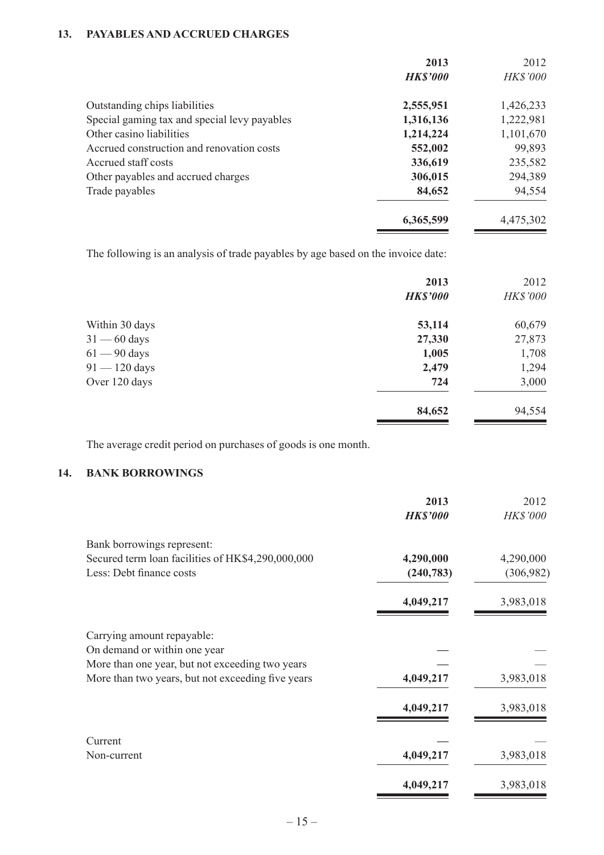#### **13. PAYABLES AND ACCRUED CHARGES**

|                                              | 2013            | 2012      |
|----------------------------------------------|-----------------|-----------|
|                                              | <b>HK\$'000</b> | HK\$'000  |
| Outstanding chips liabilities                | 2,555,951       | 1,426,233 |
| Special gaming tax and special levy payables | 1,316,136       | 1,222,981 |
| Other casino liabilities                     | 1,214,224       | 1,101,670 |
| Accrued construction and renovation costs    | 552,002         | 99,893    |
| Accrued staff costs                          | 336,619         | 235,582   |
| Other payables and accrued charges           | 306,015         | 294,389   |
| Trade payables                               | 84,652          | 94,554    |
|                                              | 6,365,599       | 4,475,302 |

The following is an analysis of trade payables by age based on the invoice date:

|                 | 2013<br><b>HK\$'000</b> | 2012<br>HK\$'000 |
|-----------------|-------------------------|------------------|
| Within 30 days  | 53,114                  | 60,679           |
| $31 - 60$ days  | 27,330                  | 27,873           |
| $61 - 90$ days  | 1,005                   | 1,708            |
| $91 - 120$ days | 2,479                   | 1,294            |
| Over 120 days   | 724                     | 3,000            |
|                 | 84,652                  | 94,554           |

The average credit period on purchases of goods is one month.

### **14. BANK BORROWINGS**

|                                                   | 2013            | 2012       |
|---------------------------------------------------|-----------------|------------|
|                                                   | <b>HK\$'000</b> | HK\$'000   |
| Bank borrowings represent:                        |                 |            |
| Secured term loan facilities of HK\$4,290,000,000 | 4,290,000       | 4,290,000  |
| Less: Debt finance costs                          | (240, 783)      | (306, 982) |
|                                                   | 4,049,217       | 3,983,018  |
| Carrying amount repayable:                        |                 |            |
| On demand or within one year                      |                 |            |
| More than one year, but not exceeding two years   |                 |            |
| More than two years, but not exceeding five years | 4,049,217       | 3,983,018  |
|                                                   | 4,049,217       | 3,983,018  |
| Current                                           |                 |            |
| Non-current                                       | 4,049,217       | 3,983,018  |
|                                                   | 4,049,217       | 3,983,018  |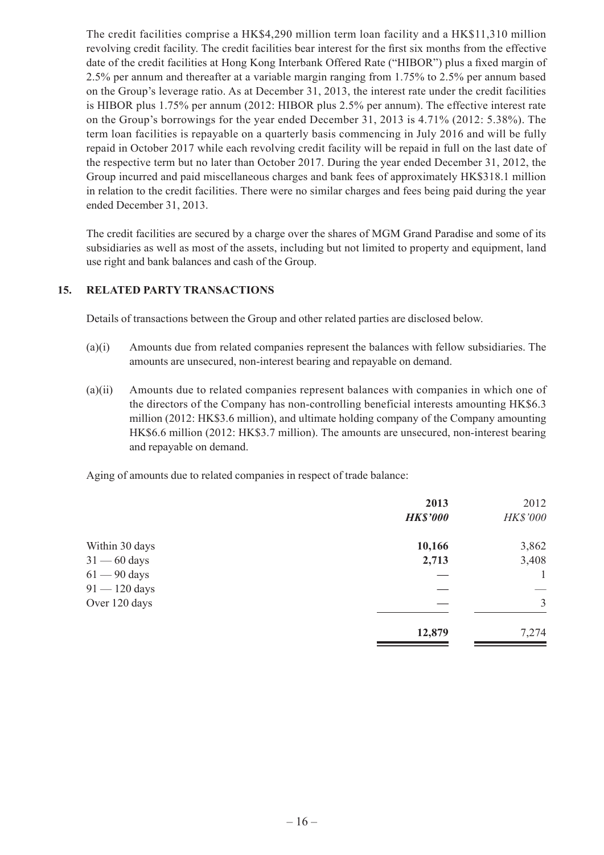The credit facilities comprise a HK\$4,290 million term loan facility and a HK\$11,310 million revolving credit facility. The credit facilities bear interest for the first six months from the effective date of the credit facilities at Hong Kong Interbank Offered Rate ("HIBOR") plus a fixed margin of 2.5% per annum and thereafter at a variable margin ranging from 1.75% to 2.5% per annum based on the Group's leverage ratio. As at December 31, 2013, the interest rate under the credit facilities is HIBOR plus 1.75% per annum (2012: HIBOR plus 2.5% per annum). The effective interest rate on the Group's borrowings for the year ended December 31, 2013 is 4.71% (2012: 5.38%). The term loan facilities is repayable on a quarterly basis commencing in July 2016 and will be fully repaid in October 2017 while each revolving credit facility will be repaid in full on the last date of the respective term but no later than October 2017. During the year ended December 31, 2012, the Group incurred and paid miscellaneous charges and bank fees of approximately HK\$318.1 million in relation to the credit facilities. There were no similar charges and fees being paid during the year ended December 31, 2013.

The credit facilities are secured by a charge over the shares of MGM Grand Paradise and some of its subsidiaries as well as most of the assets, including but not limited to property and equipment, land use right and bank balances and cash of the Group.

#### **15. RELATED PARTY TRANSACTIONS**

Details of transactions between the Group and other related parties are disclosed below.

- (a)(i) Amounts due from related companies represent the balances with fellow subsidiaries. The amounts are unsecured, non-interest bearing and repayable on demand.
- (a)(ii) Amounts due to related companies represent balances with companies in which one of the directors of the Company has non-controlling beneficial interests amounting HK\$6.3 million (2012: HK\$3.6 million), and ultimate holding company of the Company amounting HK\$6.6 million (2012: HK\$3.7 million). The amounts are unsecured, non-interest bearing and repayable on demand.

Aging of amounts due to related companies in respect of trade balance:

|                 | 2013            | 2012            |
|-----------------|-----------------|-----------------|
|                 | <b>HK\$'000</b> | <b>HK\$'000</b> |
| Within 30 days  | 10,166          | 3,862           |
| $31 - 60$ days  | 2,713           | 3,408           |
| $61 - 90$ days  |                 |                 |
| $91 - 120$ days |                 |                 |
| Over 120 days   |                 | $\overline{3}$  |
|                 | 12,879          | 7,274           |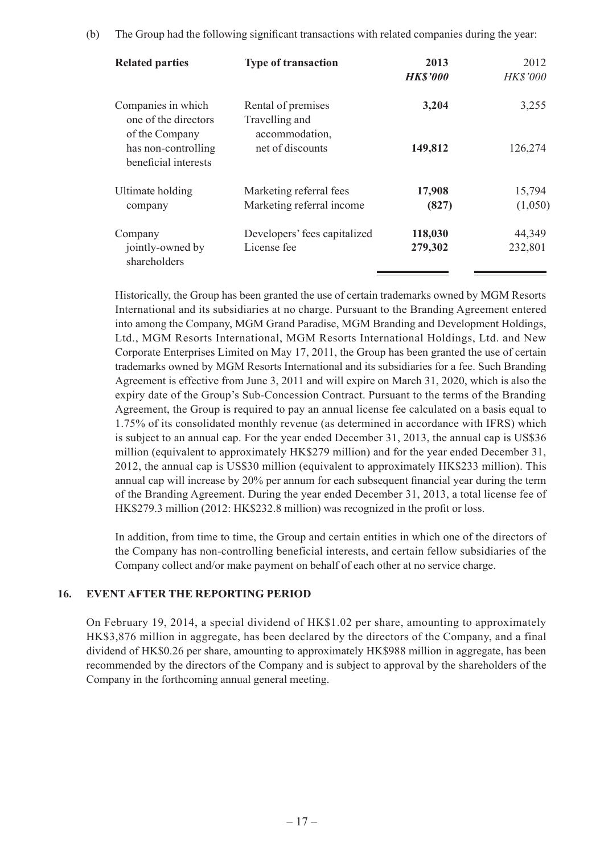|  |  | (b) The Group had the following significant transactions with related companies during the year: |  |  |  |
|--|--|--------------------------------------------------------------------------------------------------|--|--|--|
|--|--|--------------------------------------------------------------------------------------------------|--|--|--|

| <b>Related parties</b>                                       | <b>Type of transaction</b>                             | 2013<br><b>HK\$'000</b> | 2012<br><b>HK\$'000</b> |
|--------------------------------------------------------------|--------------------------------------------------------|-------------------------|-------------------------|
| Companies in which<br>one of the directors<br>of the Company | Rental of premises<br>Travelling and<br>accommodation, | 3,204                   | 3,255                   |
| has non-controlling<br>beneficial interests                  | net of discounts                                       | 149,812                 | 126,274                 |
| Ultimate holding                                             | Marketing referral fees                                | 17,908                  | 15,794                  |
| company                                                      | Marketing referral income                              | (827)                   | (1,050)                 |
| Company                                                      | Developers' fees capitalized                           | 118,030                 | 44,349                  |
| jointly-owned by<br>shareholders                             | License fee                                            | 279,302                 | 232,801                 |

Historically, the Group has been granted the use of certain trademarks owned by MGM Resorts International and its subsidiaries at no charge. Pursuant to the Branding Agreement entered into among the Company, MGM Grand Paradise, MGM Branding and Development Holdings, Ltd., MGM Resorts International, MGM Resorts International Holdings, Ltd. and New Corporate Enterprises Limited on May 17, 2011, the Group has been granted the use of certain trademarks owned by MGM Resorts International and its subsidiaries for a fee. Such Branding Agreement is effective from June 3, 2011 and will expire on March 31, 2020, which is also the expiry date of the Group's Sub-Concession Contract. Pursuant to the terms of the Branding Agreement, the Group is required to pay an annual license fee calculated on a basis equal to 1.75% of its consolidated monthly revenue (as determined in accordance with IFRS) which is subject to an annual cap. For the year ended December 31, 2013, the annual cap is US\$36 million (equivalent to approximately HK\$279 million) and for the year ended December 31, 2012, the annual cap is US\$30 million (equivalent to approximately HK\$233 million). This annual cap will increase by 20% per annum for each subsequent financial year during the term of the Branding Agreement. During the year ended December 31, 2013, a total license fee of HK\$279.3 million (2012: HK\$232.8 million) was recognized in the profit or loss.

In addition, from time to time, the Group and certain entities in which one of the directors of the Company has non-controlling beneficial interests, and certain fellow subsidiaries of the Company collect and/or make payment on behalf of each other at no service charge.

#### **16. EVENT AFTER THE REPORTING PERIOD**

On February 19, 2014, a special dividend of HK\$1.02 per share, amounting to approximately HK\$3,876 million in aggregate, has been declared by the directors of the Company, and a final dividend of HK\$0.26 per share, amounting to approximately HK\$988 million in aggregate, has been recommended by the directors of the Company and is subject to approval by the shareholders of the Company in the forthcoming annual general meeting.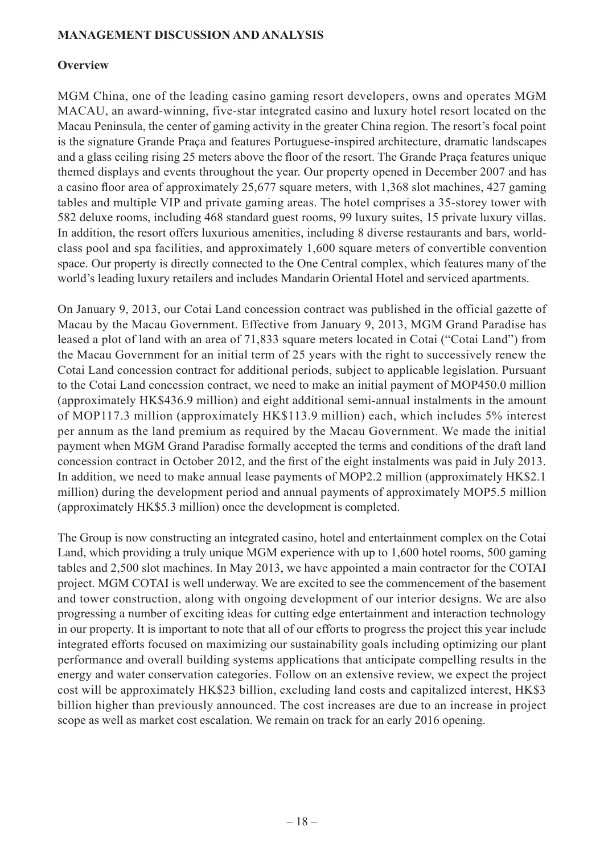#### **MANAGEMENT DISCUSSION AND ANALYSIS**

#### **Overview**

MGM China, one of the leading casino gaming resort developers, owns and operates MGM MACAU, an award-winning, five-star integrated casino and luxury hotel resort located on the Macau Peninsula, the center of gaming activity in the greater China region. The resort's focal point is the signature Grande Praça and features Portuguese-inspired architecture, dramatic landscapes and a glass ceiling rising 25 meters above the floor of the resort. The Grande Praça features unique themed displays and events throughout the year. Our property opened in December 2007 and has a casino floor area of approximately 25,677 square meters, with 1,368 slot machines, 427 gaming tables and multiple VIP and private gaming areas. The hotel comprises a 35-storey tower with 582 deluxe rooms, including 468 standard guest rooms, 99 luxury suites, 15 private luxury villas. In addition, the resort offers luxurious amenities, including 8 diverse restaurants and bars, worldclass pool and spa facilities, and approximately 1,600 square meters of convertible convention space. Our property is directly connected to the One Central complex, which features many of the world's leading luxury retailers and includes Mandarin Oriental Hotel and serviced apartments.

On January 9, 2013, our Cotai Land concession contract was published in the official gazette of Macau by the Macau Government. Effective from January 9, 2013, MGM Grand Paradise has leased a plot of land with an area of 71,833 square meters located in Cotai ("Cotai Land") from the Macau Government for an initial term of 25 years with the right to successively renew the Cotai Land concession contract for additional periods, subject to applicable legislation. Pursuant to the Cotai Land concession contract, we need to make an initial payment of MOP450.0 million (approximately HK\$436.9 million) and eight additional semi-annual instalments in the amount of MOP117.3 million (approximately HK\$113.9 million) each, which includes 5% interest per annum as the land premium as required by the Macau Government. We made the initial payment when MGM Grand Paradise formally accepted the terms and conditions of the draft land concession contract in October 2012, and the first of the eight instalments was paid in July 2013. In addition, we need to make annual lease payments of MOP2.2 million (approximately HK\$2.1 million) during the development period and annual payments of approximately MOP5.5 million (approximately HK\$5.3 million) once the development is completed.

The Group is now constructing an integrated casino, hotel and entertainment complex on the Cotai Land, which providing a truly unique MGM experience with up to 1,600 hotel rooms, 500 gaming tables and 2,500 slot machines. In May 2013, we have appointed a main contractor for the COTAI project. MGM COTAI is well underway. We are excited to see the commencement of the basement and tower construction, along with ongoing development of our interior designs. We are also progressing a number of exciting ideas for cutting edge entertainment and interaction technology in our property. It is important to note that all of our efforts to progress the project this year include integrated efforts focused on maximizing our sustainability goals including optimizing our plant performance and overall building systems applications that anticipate compelling results in the energy and water conservation categories. Follow on an extensive review, we expect the project cost will be approximately HK\$23 billion, excluding land costs and capitalized interest, HK\$3 billion higher than previously announced. The cost increases are due to an increase in project scope as well as market cost escalation. We remain on track for an early 2016 opening.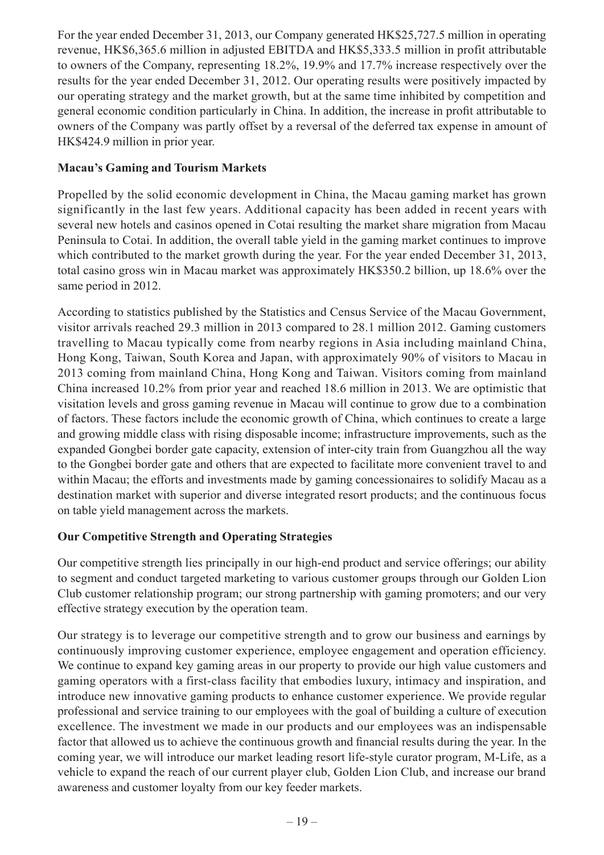For the year ended December 31, 2013, our Company generated HK\$25,727.5 million in operating revenue, HK\$6,365.6 million in adjusted EBITDA and HK\$5,333.5 million in profit attributable to owners of the Company, representing 18.2%, 19.9% and 17.7% increase respectively over the results for the year ended December 31, 2012. Our operating results were positively impacted by our operating strategy and the market growth, but at the same time inhibited by competition and general economic condition particularly in China. In addition, the increase in profit attributable to owners of the Company was partly offset by a reversal of the deferred tax expense in amount of HK\$424.9 million in prior year.

### **Macau's Gaming and Tourism Markets**

Propelled by the solid economic development in China, the Macau gaming market has grown significantly in the last few years. Additional capacity has been added in recent years with several new hotels and casinos opened in Cotai resulting the market share migration from Macau Peninsula to Cotai. In addition, the overall table yield in the gaming market continues to improve which contributed to the market growth during the year. For the year ended December 31, 2013, total casino gross win in Macau market was approximately HK\$350.2 billion, up 18.6% over the same period in 2012.

According to statistics published by the Statistics and Census Service of the Macau Government, visitor arrivals reached 29.3 million in 2013 compared to 28.1 million 2012. Gaming customers travelling to Macau typically come from nearby regions in Asia including mainland China, Hong Kong, Taiwan, South Korea and Japan, with approximately 90% of visitors to Macau in 2013 coming from mainland China, Hong Kong and Taiwan. Visitors coming from mainland China increased 10.2% from prior year and reached 18.6 million in 2013. We are optimistic that visitation levels and gross gaming revenue in Macau will continue to grow due to a combination of factors. These factors include the economic growth of China, which continues to create a large and growing middle class with rising disposable income; infrastructure improvements, such as the expanded Gongbei border gate capacity, extension of inter-city train from Guangzhou all the way to the Gongbei border gate and others that are expected to facilitate more convenient travel to and within Macau; the efforts and investments made by gaming concessionaires to solidify Macau as a destination market with superior and diverse integrated resort products; and the continuous focus on table yield management across the markets.

# **Our Competitive Strength and Operating Strategies**

Our competitive strength lies principally in our high-end product and service offerings; our ability to segment and conduct targeted marketing to various customer groups through our Golden Lion Club customer relationship program; our strong partnership with gaming promoters; and our very effective strategy execution by the operation team.

Our strategy is to leverage our competitive strength and to grow our business and earnings by continuously improving customer experience, employee engagement and operation efficiency. We continue to expand key gaming areas in our property to provide our high value customers and gaming operators with a first-class facility that embodies luxury, intimacy and inspiration, and introduce new innovative gaming products to enhance customer experience. We provide regular professional and service training to our employees with the goal of building a culture of execution excellence. The investment we made in our products and our employees was an indispensable factor that allowed us to achieve the continuous growth and financial results during the year. In the coming year, we will introduce our market leading resort life-style curator program, M-Life, as a vehicle to expand the reach of our current player club, Golden Lion Club, and increase our brand awareness and customer loyalty from our key feeder markets.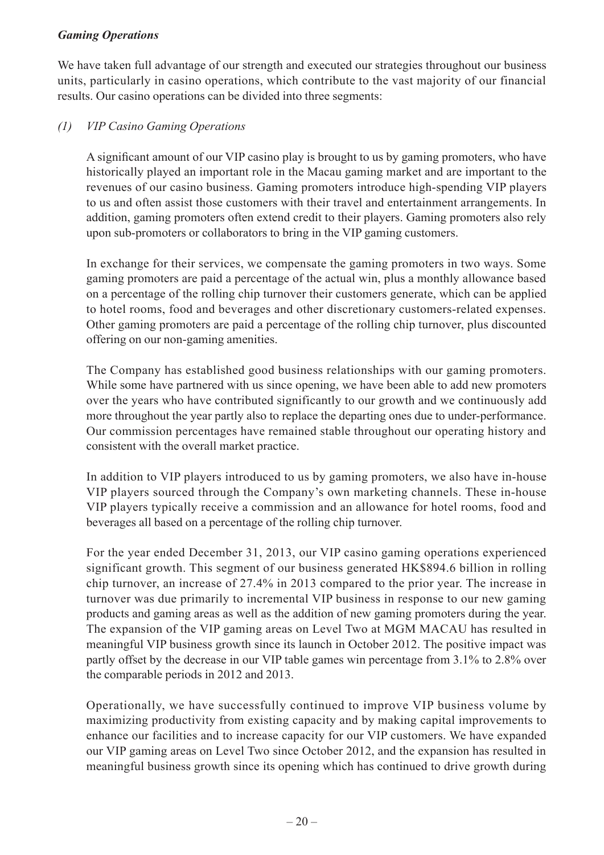### *Gaming Operations*

We have taken full advantage of our strength and executed our strategies throughout our business units, particularly in casino operations, which contribute to the vast majority of our financial results. Our casino operations can be divided into three segments:

### *(1) VIP Casino Gaming Operations*

A significant amount of our VIP casino play is brought to us by gaming promoters, who have historically played an important role in the Macau gaming market and are important to the revenues of our casino business. Gaming promoters introduce high-spending VIP players to us and often assist those customers with their travel and entertainment arrangements. In addition, gaming promoters often extend credit to their players. Gaming promoters also rely upon sub-promoters or collaborators to bring in the VIP gaming customers.

In exchange for their services, we compensate the gaming promoters in two ways. Some gaming promoters are paid a percentage of the actual win, plus a monthly allowance based on a percentage of the rolling chip turnover their customers generate, which can be applied to hotel rooms, food and beverages and other discretionary customers-related expenses. Other gaming promoters are paid a percentage of the rolling chip turnover, plus discounted offering on our non-gaming amenities.

The Company has established good business relationships with our gaming promoters. While some have partnered with us since opening, we have been able to add new promoters over the years who have contributed significantly to our growth and we continuously add more throughout the year partly also to replace the departing ones due to under-performance. Our commission percentages have remained stable throughout our operating history and consistent with the overall market practice.

In addition to VIP players introduced to us by gaming promoters, we also have in-house VIP players sourced through the Company's own marketing channels. These in-house VIP players typically receive a commission and an allowance for hotel rooms, food and beverages all based on a percentage of the rolling chip turnover.

For the year ended December 31, 2013, our VIP casino gaming operations experienced significant growth. This segment of our business generated HK\$894.6 billion in rolling chip turnover, an increase of 27.4% in 2013 compared to the prior year. The increase in turnover was due primarily to incremental VIP business in response to our new gaming products and gaming areas as well as the addition of new gaming promoters during the year. The expansion of the VIP gaming areas on Level Two at MGM MACAU has resulted in meaningful VIP business growth since its launch in October 2012. The positive impact was partly offset by the decrease in our VIP table games win percentage from 3.1% to 2.8% over the comparable periods in 2012 and 2013.

Operationally, we have successfully continued to improve VIP business volume by maximizing productivity from existing capacity and by making capital improvements to enhance our facilities and to increase capacity for our VIP customers. We have expanded our VIP gaming areas on Level Two since October 2012, and the expansion has resulted in meaningful business growth since its opening which has continued to drive growth during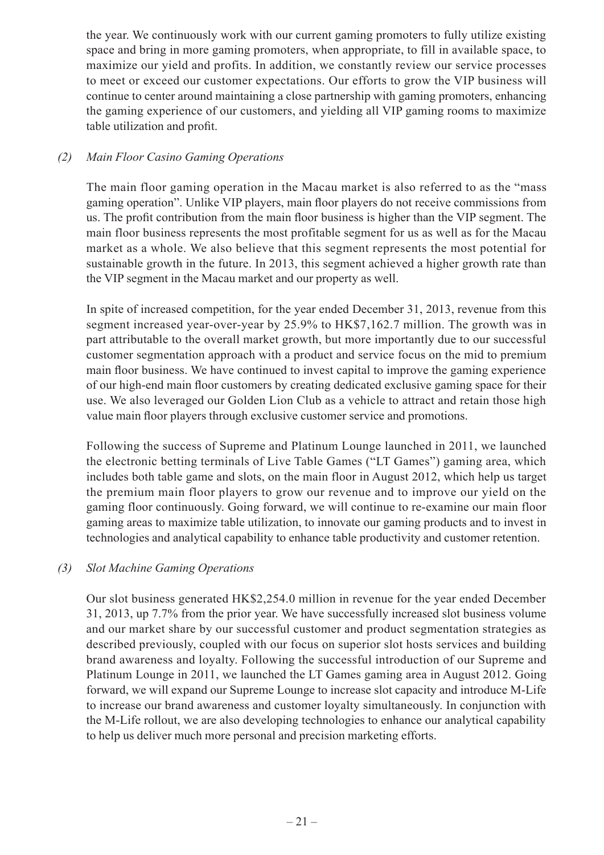the year. We continuously work with our current gaming promoters to fully utilize existing space and bring in more gaming promoters, when appropriate, to fill in available space, to maximize our yield and profits. In addition, we constantly review our service processes to meet or exceed our customer expectations. Our efforts to grow the VIP business will continue to center around maintaining a close partnership with gaming promoters, enhancing the gaming experience of our customers, and yielding all VIP gaming rooms to maximize table utilization and profit.

### *(2) Main Floor Casino Gaming Operations*

The main floor gaming operation in the Macau market is also referred to as the "mass gaming operation". Unlike VIP players, main floor players do not receive commissions from us. The profit contribution from the main floor business is higher than the VIP segment. The main floor business represents the most profitable segment for us as well as for the Macau market as a whole. We also believe that this segment represents the most potential for sustainable growth in the future. In 2013, this segment achieved a higher growth rate than the VIP segment in the Macau market and our property as well.

In spite of increased competition, for the year ended December 31, 2013, revenue from this segment increased year-over-year by 25.9% to HK\$7,162.7 million. The growth was in part attributable to the overall market growth, but more importantly due to our successful customer segmentation approach with a product and service focus on the mid to premium main floor business. We have continued to invest capital to improve the gaming experience of our high-end main floor customers by creating dedicated exclusive gaming space for their use. We also leveraged our Golden Lion Club as a vehicle to attract and retain those high value main floor players through exclusive customer service and promotions.

Following the success of Supreme and Platinum Lounge launched in 2011, we launched the electronic betting terminals of Live Table Games ("LT Games") gaming area, which includes both table game and slots, on the main floor in August 2012, which help us target the premium main floor players to grow our revenue and to improve our yield on the gaming floor continuously. Going forward, we will continue to re-examine our main floor gaming areas to maximize table utilization, to innovate our gaming products and to invest in technologies and analytical capability to enhance table productivity and customer retention.

### *(3) Slot Machine Gaming Operations*

Our slot business generated HK\$2,254.0 million in revenue for the year ended December 31, 2013, up 7.7% from the prior year. We have successfully increased slot business volume and our market share by our successful customer and product segmentation strategies as described previously, coupled with our focus on superior slot hosts services and building brand awareness and loyalty. Following the successful introduction of our Supreme and Platinum Lounge in 2011, we launched the LT Games gaming area in August 2012. Going forward, we will expand our Supreme Lounge to increase slot capacity and introduce M-Life to increase our brand awareness and customer loyalty simultaneously. In conjunction with the M-Life rollout, we are also developing technologies to enhance our analytical capability to help us deliver much more personal and precision marketing efforts.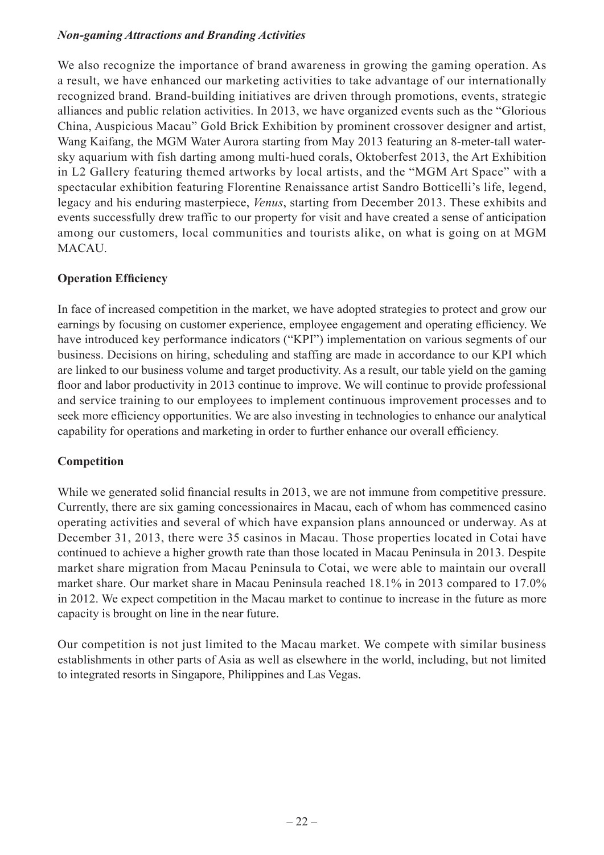### *Non-gaming Attractions and Branding Activities*

We also recognize the importance of brand awareness in growing the gaming operation. As a result, we have enhanced our marketing activities to take advantage of our internationally recognized brand. Brand-building initiatives are driven through promotions, events, strategic alliances and public relation activities. In 2013, we have organized events such as the "Glorious China, Auspicious Macau" Gold Brick Exhibition by prominent crossover designer and artist, Wang Kaifang, the MGM Water Aurora starting from May 2013 featuring an 8-meter-tall watersky aquarium with fish darting among multi-hued corals, Oktoberfest 2013, the Art Exhibition in L2 Gallery featuring themed artworks by local artists, and the "MGM Art Space" with a spectacular exhibition featuring Florentine Renaissance artist Sandro Botticelli's life, legend, legacy and his enduring masterpiece, *Venus*, starting from December 2013. These exhibits and events successfully drew traffic to our property for visit and have created a sense of anticipation among our customers, local communities and tourists alike, on what is going on at MGM MACAU.

# **Operation Efficiency**

In face of increased competition in the market, we have adopted strategies to protect and grow our earnings by focusing on customer experience, employee engagement and operating efficiency. We have introduced key performance indicators ("KPI") implementation on various segments of our business. Decisions on hiring, scheduling and staffing are made in accordance to our KPI which are linked to our business volume and target productivity. As a result, our table yield on the gaming floor and labor productivity in 2013 continue to improve. We will continue to provide professional and service training to our employees to implement continuous improvement processes and to seek more efficiency opportunities. We are also investing in technologies to enhance our analytical capability for operations and marketing in order to further enhance our overall efficiency.

# **Competition**

While we generated solid financial results in 2013, we are not immune from competitive pressure. Currently, there are six gaming concessionaires in Macau, each of whom has commenced casino operating activities and several of which have expansion plans announced or underway. As at December 31, 2013, there were 35 casinos in Macau. Those properties located in Cotai have continued to achieve a higher growth rate than those located in Macau Peninsula in 2013. Despite market share migration from Macau Peninsula to Cotai, we were able to maintain our overall market share. Our market share in Macau Peninsula reached 18.1% in 2013 compared to 17.0% in 2012. We expect competition in the Macau market to continue to increase in the future as more capacity is brought on line in the near future.

Our competition is not just limited to the Macau market. We compete with similar business establishments in other parts of Asia as well as elsewhere in the world, including, but not limited to integrated resorts in Singapore, Philippines and Las Vegas.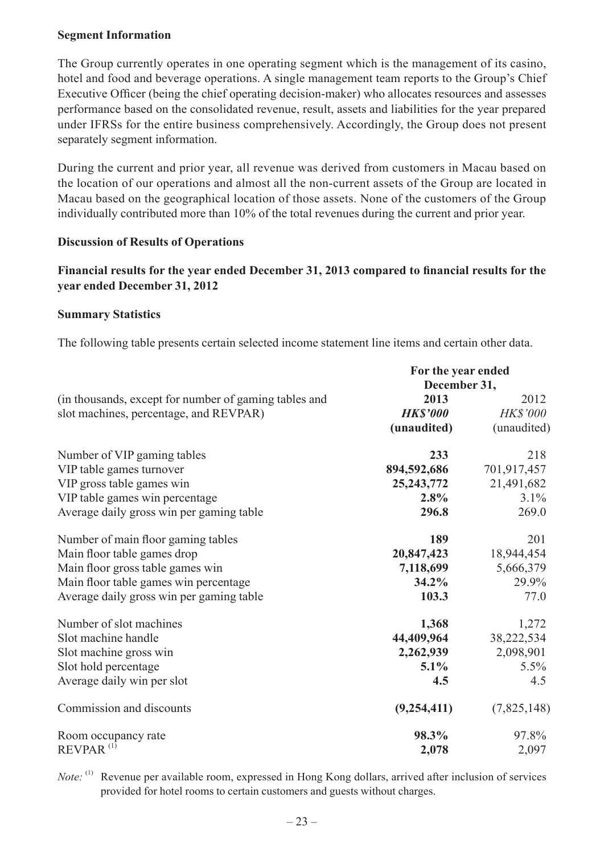#### **Segment Information**

The Group currently operates in one operating segment which is the management of its casino, hotel and food and beverage operations. A single management team reports to the Group's Chief Executive Officer (being the chief operating decision-maker) who allocates resources and assesses performance based on the consolidated revenue, result, assets and liabilities for the year prepared under IFRSs for the entire business comprehensively. Accordingly, the Group does not present separately segment information.

During the current and prior year, all revenue was derived from customers in Macau based on the location of our operations and almost all the non-current assets of the Group are located in Macau based on the geographical location of those assets. None of the customers of the Group individually contributed more than 10% of the total revenues during the current and prior year.

#### **Discussion of Results of Operations**

#### **Financial results for the year ended December 31, 2013 compared to financial results for the year ended December 31, 2012**

#### **Summary Statistics**

The following table presents certain selected income statement line items and certain other data.

|                                                       | For the year ended<br>December 31, |                 |
|-------------------------------------------------------|------------------------------------|-----------------|
|                                                       |                                    |                 |
| (in thousands, except for number of gaming tables and | 2013                               | 2012            |
| slot machines, percentage, and REVPAR)                | <b>HK\$'000</b>                    | <b>HK\$'000</b> |
|                                                       | (unaudited)                        | (unaudited)     |
| Number of VIP gaming tables                           | 233                                | 218             |
| VIP table games turnover                              | 894,592,686                        | 701,917,457     |
| VIP gross table games win                             | 25, 243, 772                       | 21,491,682      |
| VIP table games win percentage                        | 2.8%                               | 3.1%            |
| Average daily gross win per gaming table              | 296.8                              | 269.0           |
| Number of main floor gaming tables                    | 189                                | 201             |
| Main floor table games drop                           | 20,847,423                         | 18,944,454      |
| Main floor gross table games win                      | 7,118,699                          | 5,666,379       |
| Main floor table games win percentage                 | $34.2\%$                           | 29.9%           |
| Average daily gross win per gaming table              | 103.3                              | 77.0            |
| Number of slot machines                               | 1,368                              | 1,272           |
| Slot machine handle                                   | 44,409,964                         | 38,222,534      |
| Slot machine gross win                                | 2,262,939                          | 2,098,901       |
| Slot hold percentage                                  | $5.1\%$                            | $5.5\%$         |
| Average daily win per slot                            | 4.5                                | 4.5             |
| Commission and discounts                              | (9,254,411)                        | (7,825,148)     |
| Room occupancy rate                                   | 98.3%                              | 97.8%           |
| $REVPAR$ <sup>(1)</sup>                               | 2,078                              | 2,097           |

*Note*:<sup>(1)</sup> Revenue per available room, expressed in Hong Kong dollars, arrived after inclusion of services provided for hotel rooms to certain customers and guests without charges.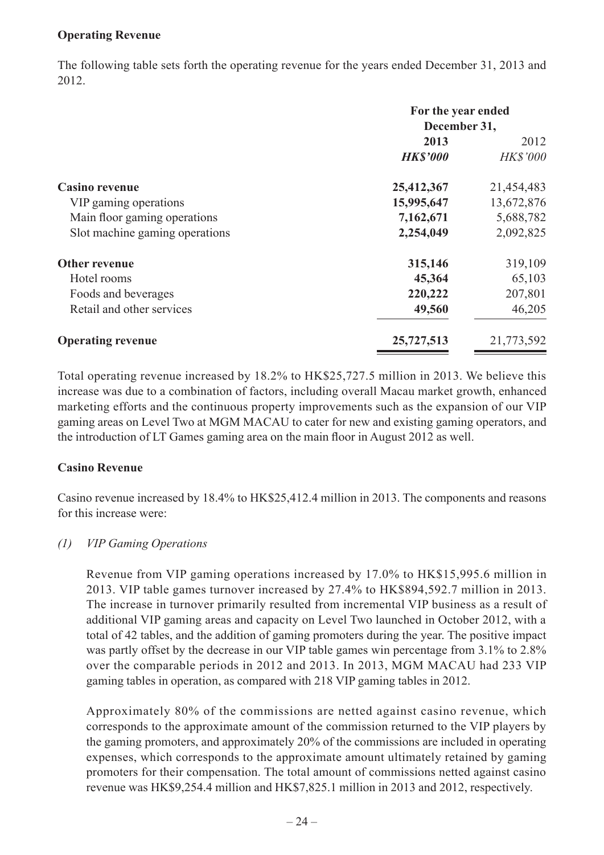#### **Operating Revenue**

The following table sets forth the operating revenue for the years ended December 31, 2013 and 2012.

|                                | For the year ended |                 |
|--------------------------------|--------------------|-----------------|
|                                | December 31,       |                 |
|                                | 2013               | 2012            |
|                                | <b>HK\$'000</b>    | <b>HK\$'000</b> |
| <b>Casino revenue</b>          | 25,412,367         | 21,454,483      |
| VIP gaming operations          | 15,995,647         | 13,672,876      |
| Main floor gaming operations   | 7,162,671          | 5,688,782       |
| Slot machine gaming operations | 2,254,049          | 2,092,825       |
| Other revenue                  | 315,146            | 319,109         |
| Hotel rooms                    | 45,364             | 65,103          |
| Foods and beverages            | 220,222            | 207,801         |
| Retail and other services      | 49,560             | 46,205          |
| <b>Operating revenue</b>       | 25,727,513         | 21,773,592      |

Total operating revenue increased by 18.2% to HK\$25,727.5 million in 2013. We believe this increase was due to a combination of factors, including overall Macau market growth, enhanced marketing efforts and the continuous property improvements such as the expansion of our VIP gaming areas on Level Two at MGM MACAU to cater for new and existing gaming operators, and the introduction of LT Games gaming area on the main floor in August 2012 as well.

#### **Casino Revenue**

Casino revenue increased by 18.4% to HK\$25,412.4 million in 2013. The components and reasons for this increase were:

### *(1) VIP Gaming Operations*

Revenue from VIP gaming operations increased by 17.0% to HK\$15,995.6 million in 2013. VIP table games turnover increased by 27.4% to HK\$894,592.7 million in 2013. The increase in turnover primarily resulted from incremental VIP business as a result of additional VIP gaming areas and capacity on Level Two launched in October 2012, with a total of 42 tables, and the addition of gaming promoters during the year. The positive impact was partly offset by the decrease in our VIP table games win percentage from 3.1% to 2.8% over the comparable periods in 2012 and 2013. In 2013, MGM MACAU had 233 VIP gaming tables in operation, as compared with 218 VIP gaming tables in 2012.

Approximately 80% of the commissions are netted against casino revenue, which corresponds to the approximate amount of the commission returned to the VIP players by the gaming promoters, and approximately 20% of the commissions are included in operating expenses, which corresponds to the approximate amount ultimately retained by gaming promoters for their compensation. The total amount of commissions netted against casino revenue was HK\$9,254.4 million and HK\$7,825.1 million in 2013 and 2012, respectively.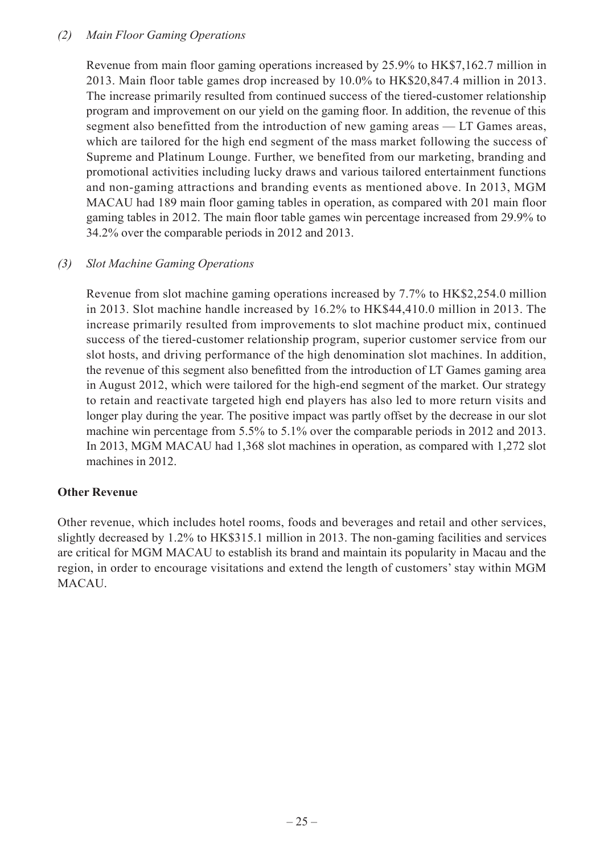#### *(2) Main Floor Gaming Operations*

Revenue from main floor gaming operations increased by 25.9% to HK\$7,162.7 million in 2013. Main floor table games drop increased by 10.0% to HK\$20,847.4 million in 2013. The increase primarily resulted from continued success of the tiered-customer relationship program and improvement on our yield on the gaming floor. In addition, the revenue of this segment also benefitted from the introduction of new gaming areas — LT Games areas, which are tailored for the high end segment of the mass market following the success of Supreme and Platinum Lounge. Further, we benefited from our marketing, branding and promotional activities including lucky draws and various tailored entertainment functions and non-gaming attractions and branding events as mentioned above. In 2013, MGM MACAU had 189 main floor gaming tables in operation, as compared with 201 main floor gaming tables in 2012. The main floor table games win percentage increased from 29.9% to 34.2% over the comparable periods in 2012 and 2013.

#### *(3) Slot Machine Gaming Operations*

Revenue from slot machine gaming operations increased by 7.7% to HK\$2,254.0 million in 2013. Slot machine handle increased by 16.2% to HK\$44,410.0 million in 2013. The increase primarily resulted from improvements to slot machine product mix, continued success of the tiered-customer relationship program, superior customer service from our slot hosts, and driving performance of the high denomination slot machines. In addition, the revenue of this segment also benefitted from the introduction of LT Games gaming area in August 2012, which were tailored for the high-end segment of the market. Our strategy to retain and reactivate targeted high end players has also led to more return visits and longer play during the year. The positive impact was partly offset by the decrease in our slot machine win percentage from 5.5% to 5.1% over the comparable periods in 2012 and 2013. In 2013, MGM MACAU had 1,368 slot machines in operation, as compared with 1,272 slot machines in 2012.

#### **Other Revenue**

Other revenue, which includes hotel rooms, foods and beverages and retail and other services, slightly decreased by 1.2% to HK\$315.1 million in 2013. The non-gaming facilities and services are critical for MGM MACAU to establish its brand and maintain its popularity in Macau and the region, in order to encourage visitations and extend the length of customers' stay within MGM MACAU.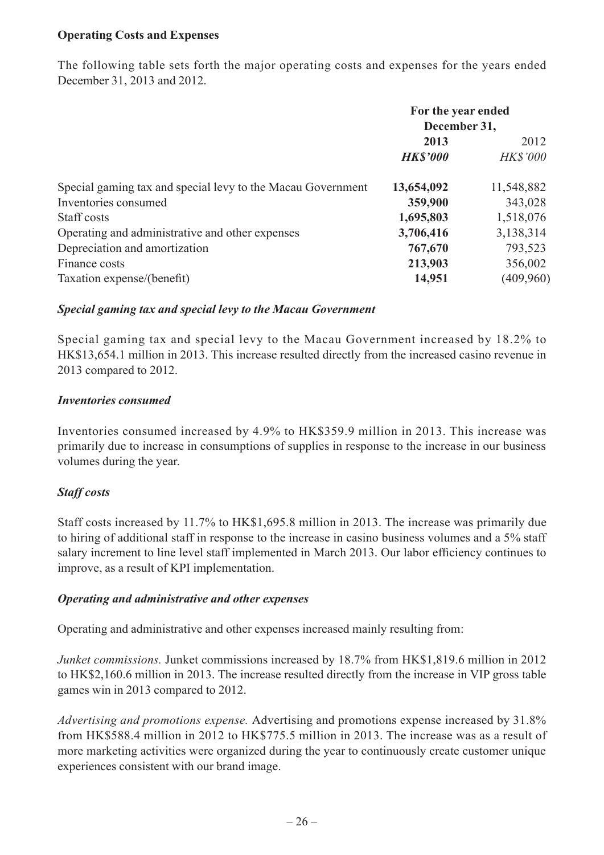### **Operating Costs and Expenses**

The following table sets forth the major operating costs and expenses for the years ended December 31, 2013 and 2012.

|                                                             | For the year ended<br>December 31, |                 |
|-------------------------------------------------------------|------------------------------------|-----------------|
|                                                             | 2013<br>2012                       |                 |
|                                                             | <b>HK\$'000</b>                    | <b>HK\$'000</b> |
| Special gaming tax and special levy to the Macau Government | 13,654,092                         | 11,548,882      |
| Inventories consumed                                        | 359,900                            | 343,028         |
| Staff costs                                                 | 1,695,803                          | 1,518,076       |
| Operating and administrative and other expenses             | 3,706,416                          | 3,138,314       |
| Depreciation and amortization                               | 767,670                            | 793,523         |
| Finance costs                                               | 213,903                            | 356,002         |
| Taxation expense/(benefit)                                  | 14,951                             | (409, 960)      |

#### *Special gaming tax and special levy to the Macau Government*

Special gaming tax and special levy to the Macau Government increased by 18.2% to HK\$13,654.1 million in 2013. This increase resulted directly from the increased casino revenue in 2013 compared to 2012.

#### *Inventories consumed*

Inventories consumed increased by 4.9% to HK\$359.9 million in 2013. This increase was primarily due to increase in consumptions of supplies in response to the increase in our business volumes during the year.

#### *Staff costs*

Staff costs increased by 11.7% to HK\$1,695.8 million in 2013. The increase was primarily due to hiring of additional staff in response to the increase in casino business volumes and a 5% staff salary increment to line level staff implemented in March 2013. Our labor efficiency continues to improve, as a result of KPI implementation.

#### *Operating and administrative and other expenses*

Operating and administrative and other expenses increased mainly resulting from:

*Junket commissions.* Junket commissions increased by 18.7% from HK\$1,819.6 million in 2012 to HK\$2,160.6 million in 2013. The increase resulted directly from the increase in VIP gross table games win in 2013 compared to 2012.

*Advertising and promotions expense.* Advertising and promotions expense increased by 31.8% from HK\$588.4 million in 2012 to HK\$775.5 million in 2013. The increase was as a result of more marketing activities were organized during the year to continuously create customer unique experiences consistent with our brand image.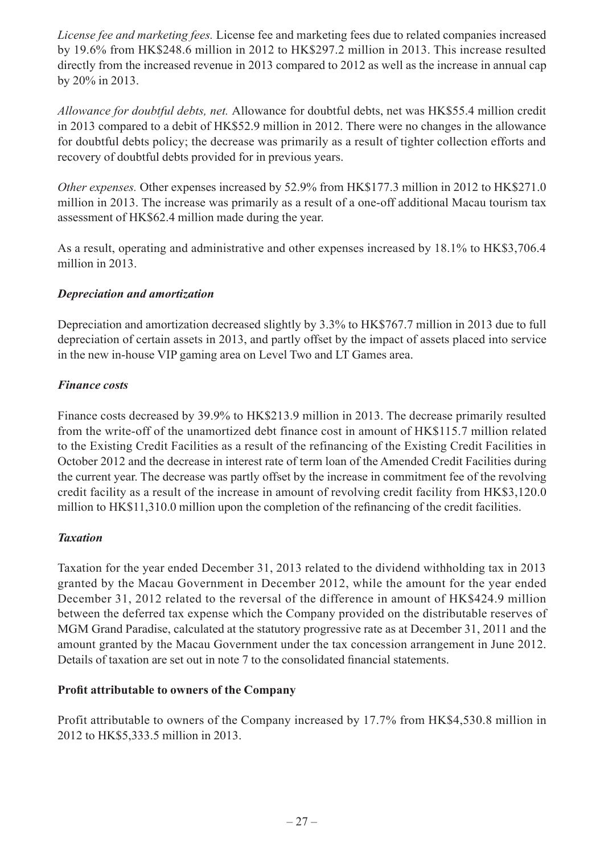*License fee and marketing fees.* License fee and marketing fees due to related companies increased by 19.6% from HK\$248.6 million in 2012 to HK\$297.2 million in 2013. This increase resulted directly from the increased revenue in 2013 compared to 2012 as well as the increase in annual cap by 20% in 2013.

*Allowance for doubtful debts, net.* Allowance for doubtful debts, net was HK\$55.4 million credit in 2013 compared to a debit of HK\$52.9 million in 2012. There were no changes in the allowance for doubtful debts policy; the decrease was primarily as a result of tighter collection efforts and recovery of doubtful debts provided for in previous years.

*Other expenses.* Other expenses increased by 52.9% from HK\$177.3 million in 2012 to HK\$271.0 million in 2013. The increase was primarily as a result of a one-off additional Macau tourism tax assessment of HK\$62.4 million made during the year.

As a result, operating and administrative and other expenses increased by 18.1% to HK\$3,706.4 million in 2013.

### *Depreciation and amortization*

Depreciation and amortization decreased slightly by 3.3% to HK\$767.7 million in 2013 due to full depreciation of certain assets in 2013, and partly offset by the impact of assets placed into service in the new in-house VIP gaming area on Level Two and LT Games area.

### *Finance costs*

Finance costs decreased by 39.9% to HK\$213.9 million in 2013. The decrease primarily resulted from the write-off of the unamortized debt finance cost in amount of HK\$115.7 million related to the Existing Credit Facilities as a result of the refinancing of the Existing Credit Facilities in October 2012 and the decrease in interest rate of term loan of the Amended Credit Facilities during the current year. The decrease was partly offset by the increase in commitment fee of the revolving credit facility as a result of the increase in amount of revolving credit facility from HK\$3,120.0 million to HK\$11,310.0 million upon the completion of the refinancing of the credit facilities.

### *Taxation*

Taxation for the year ended December 31, 2013 related to the dividend withholding tax in 2013 granted by the Macau Government in December 2012, while the amount for the year ended December 31, 2012 related to the reversal of the difference in amount of HK\$424.9 million between the deferred tax expense which the Company provided on the distributable reserves of MGM Grand Paradise, calculated at the statutory progressive rate as at December 31, 2011 and the amount granted by the Macau Government under the tax concession arrangement in June 2012. Details of taxation are set out in note 7 to the consolidated financial statements.

# **Profit attributable to owners of the Company**

Profit attributable to owners of the Company increased by 17.7% from HK\$4,530.8 million in 2012 to HK\$5,333.5 million in 2013.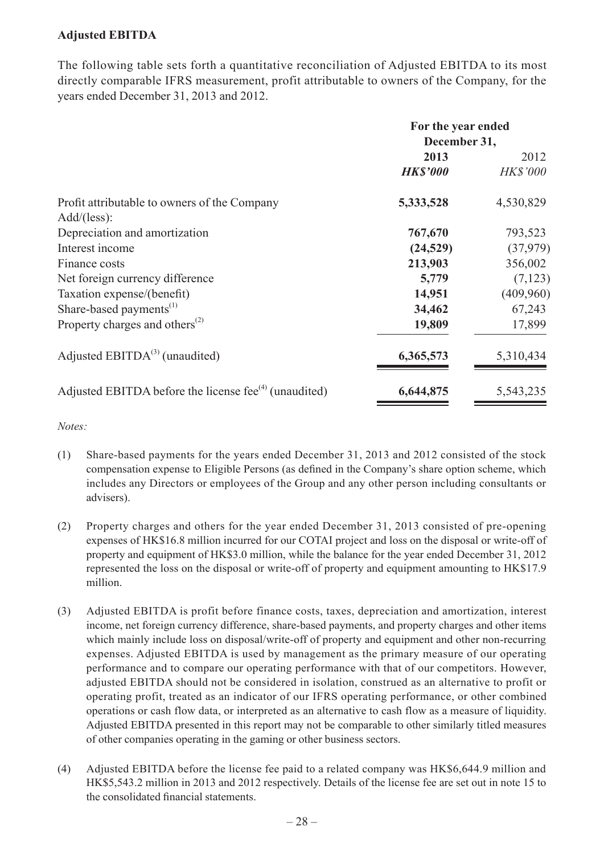### **Adjusted EBITDA**

The following table sets forth a quantitative reconciliation of Adjusted EBITDA to its most directly comparable IFRS measurement, profit attributable to owners of the Company, for the years ended December 31, 2013 and 2012.

|                                                             | For the year ended<br>December 31, |                 |
|-------------------------------------------------------------|------------------------------------|-----------------|
|                                                             | 2013                               | 2012            |
|                                                             | <b>HK\$'000</b>                    | <b>HK\$'000</b> |
| Profit attributable to owners of the Company                | 5,333,528                          | 4,530,829       |
| Add/(less):                                                 |                                    |                 |
| Depreciation and amortization                               | 767,670                            | 793,523         |
| Interest income                                             | (24, 529)                          | (37,979)        |
| Finance costs                                               | 213,903                            | 356,002         |
| Net foreign currency difference                             | 5,779                              | (7, 123)        |
| Taxation expense/(benefit)                                  | 14,951                             | (409,960)       |
| Share-based payments <sup>(1)</sup>                         | 34,462                             | 67,243          |
| Property charges and others <sup><math>(2)</math></sup>     | 19,809                             | 17,899          |
| Adjusted EBITD $A^{(3)}$ (unaudited)                        | 6,365,573                          | 5,310,434       |
| Adjusted EBITDA before the license fee $^{(4)}$ (unaudited) | 6,644,875                          | 5,543,235       |

*Notes:*

- (1) Share-based payments for the years ended December 31, 2013 and 2012 consisted of the stock compensation expense to Eligible Persons (as defined in the Company's share option scheme, which includes any Directors or employees of the Group and any other person including consultants or advisers).
- (2) Property charges and others for the year ended December 31, 2013 consisted of pre-opening expenses of HK\$16.8 million incurred for our COTAI project and loss on the disposal or write-off of property and equipment of HK\$3.0 million, while the balance for the year ended December 31, 2012 represented the loss on the disposal or write-off of property and equipment amounting to HK\$17.9 million.
- (3) Adjusted EBITDA is profit before finance costs, taxes, depreciation and amortization, interest income, net foreign currency difference, share-based payments, and property charges and other items which mainly include loss on disposal/write-off of property and equipment and other non-recurring expenses. Adjusted EBITDA is used by management as the primary measure of our operating performance and to compare our operating performance with that of our competitors. However, adjusted EBITDA should not be considered in isolation, construed as an alternative to profit or operating profit, treated as an indicator of our IFRS operating performance, or other combined operations or cash flow data, or interpreted as an alternative to cash flow as a measure of liquidity. Adjusted EBITDA presented in this report may not be comparable to other similarly titled measures of other companies operating in the gaming or other business sectors.
- (4) Adjusted EBITDA before the license fee paid to a related company was HK\$6,644.9 million and HK\$5,543.2 million in 2013 and 2012 respectively. Details of the license fee are set out in note 15 to the consolidated financial statements.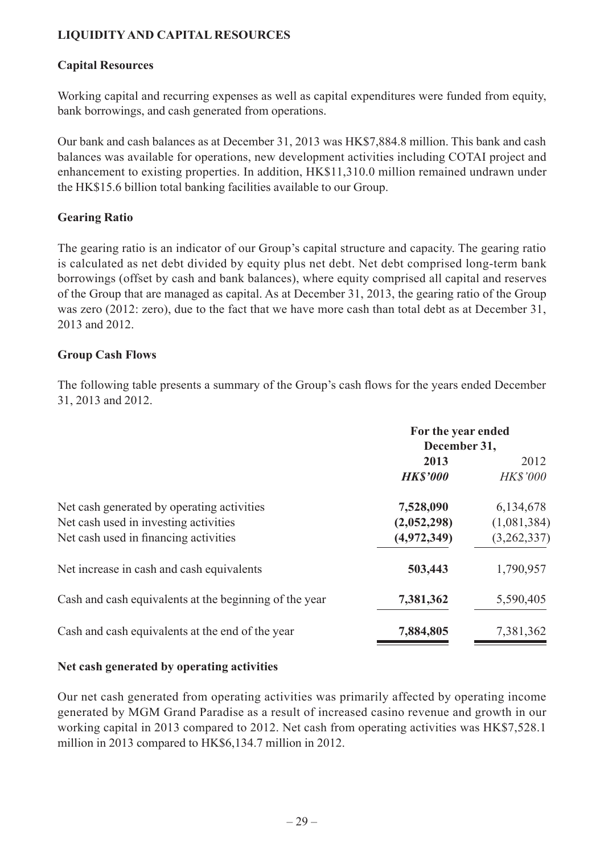# **LIQUIDITY AND CAPITAL RESOURCES**

#### **Capital Resources**

Working capital and recurring expenses as well as capital expenditures were funded from equity, bank borrowings, and cash generated from operations.

Our bank and cash balances as at December 31, 2013 was HK\$7,884.8 million. This bank and cash balances was available for operations, new development activities including COTAI project and enhancement to existing properties. In addition, HK\$11,310.0 million remained undrawn under the HK\$15.6 billion total banking facilities available to our Group.

#### **Gearing Ratio**

The gearing ratio is an indicator of our Group's capital structure and capacity. The gearing ratio is calculated as net debt divided by equity plus net debt. Net debt comprised long-term bank borrowings (offset by cash and bank balances), where equity comprised all capital and reserves of the Group that are managed as capital. As at December 31, 2013, the gearing ratio of the Group was zero (2012: zero), due to the fact that we have more cash than total debt as at December 31, 2013 and 2012.

#### **Group Cash Flows**

The following table presents a summary of the Group's cash flows for the years ended December 31, 2013 and 2012.

|                                                                                                                              | For the year ended<br>December 31,      |                                         |
|------------------------------------------------------------------------------------------------------------------------------|-----------------------------------------|-----------------------------------------|
|                                                                                                                              | 2013<br><b>HK\$'000</b>                 | 2012<br><b>HK\$'000</b>                 |
| Net cash generated by operating activities<br>Net cash used in investing activities<br>Net cash used in financing activities | 7,528,090<br>(2,052,298)<br>(4,972,349) | 6,134,678<br>(1,081,384)<br>(3,262,337) |
| Net increase in cash and cash equivalents                                                                                    | 503,443                                 | 1,790,957                               |
| Cash and cash equivalents at the beginning of the year                                                                       | 7,381,362                               | 5,590,405                               |
| Cash and cash equivalents at the end of the year                                                                             | 7,884,805                               | 7,381,362                               |

#### **Net cash generated by operating activities**

Our net cash generated from operating activities was primarily affected by operating income generated by MGM Grand Paradise as a result of increased casino revenue and growth in our working capital in 2013 compared to 2012. Net cash from operating activities was HK\$7,528.1 million in 2013 compared to HK\$6,134.7 million in 2012.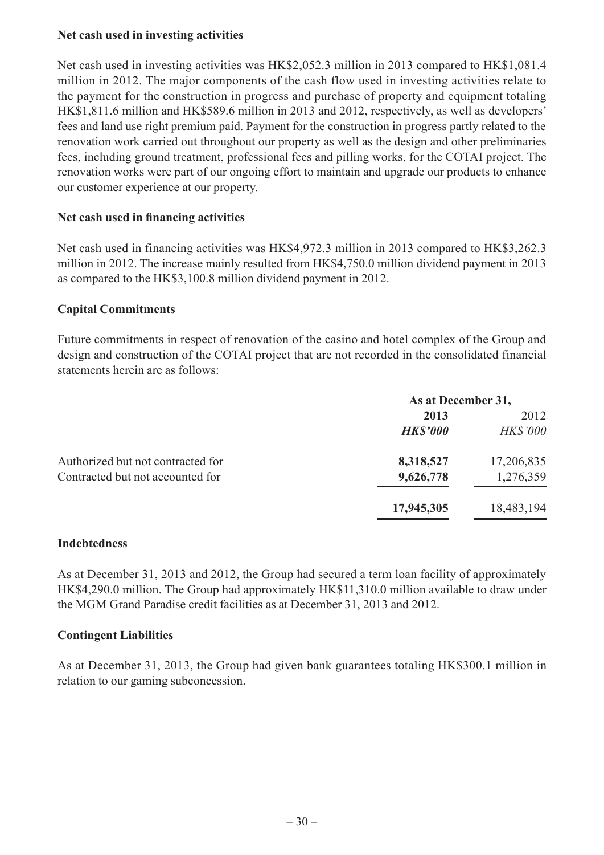### **Net cash used in investing activities**

Net cash used in investing activities was HK\$2,052.3 million in 2013 compared to HK\$1,081.4 million in 2012. The major components of the cash flow used in investing activities relate to the payment for the construction in progress and purchase of property and equipment totaling HK\$1,811.6 million and HK\$589.6 million in 2013 and 2012, respectively, as well as developers' fees and land use right premium paid. Payment for the construction in progress partly related to the renovation work carried out throughout our property as well as the design and other preliminaries fees, including ground treatment, professional fees and pilling works, for the COTAI project. The renovation works were part of our ongoing effort to maintain and upgrade our products to enhance our customer experience at our property.

#### **Net cash used in financing activities**

Net cash used in financing activities was HK\$4,972.3 million in 2013 compared to HK\$3,262.3 million in 2012. The increase mainly resulted from HK\$4,750.0 million dividend payment in 2013 as compared to the HK\$3,100.8 million dividend payment in 2012.

#### **Capital Commitments**

Future commitments in respect of renovation of the casino and hotel complex of the Group and design and construction of the COTAI project that are not recorded in the consolidated financial statements herein are as follows:

|                                   | As at December 31, |                 |
|-----------------------------------|--------------------|-----------------|
|                                   | 2013               | 2012            |
|                                   | <b>HK\$'000</b>    | <b>HK\$'000</b> |
| Authorized but not contracted for | 8,318,527          | 17,206,835      |
| Contracted but not accounted for  | 9,626,778          | 1,276,359       |
|                                   | 17,945,305         | 18,483,194      |

#### **Indebtedness**

As at December 31, 2013 and 2012, the Group had secured a term loan facility of approximately HK\$4,290.0 million. The Group had approximately HK\$11,310.0 million available to draw under the MGM Grand Paradise credit facilities as at December 31, 2013 and 2012.

#### **Contingent Liabilities**

As at December 31, 2013, the Group had given bank guarantees totaling HK\$300.1 million in relation to our gaming subconcession.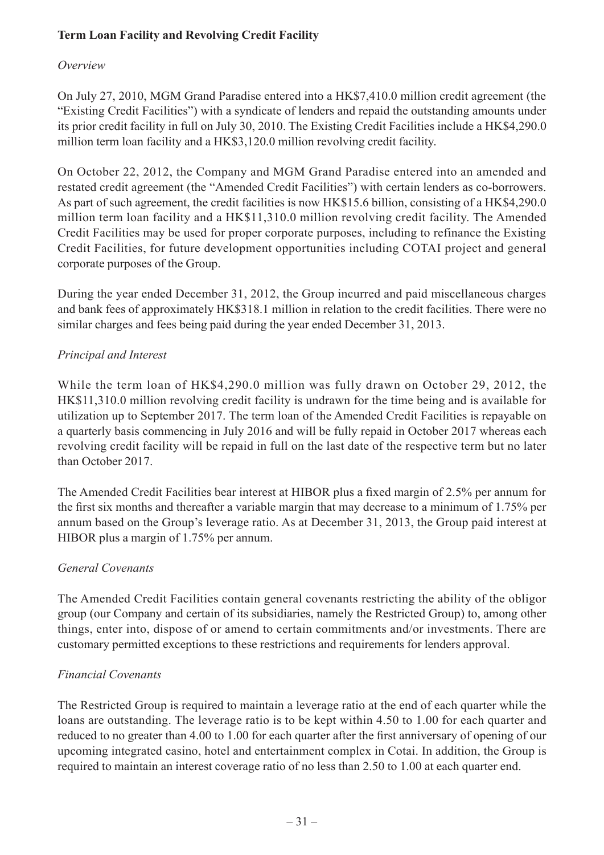# **Term Loan Facility and Revolving Credit Facility**

# *Overview*

On July 27, 2010, MGM Grand Paradise entered into a HK\$7,410.0 million credit agreement (the "Existing Credit Facilities") with a syndicate of lenders and repaid the outstanding amounts under its prior credit facility in full on July 30, 2010. The Existing Credit Facilities include a HK\$4,290.0 million term loan facility and a HK\$3,120.0 million revolving credit facility.

On October 22, 2012, the Company and MGM Grand Paradise entered into an amended and restated credit agreement (the "Amended Credit Facilities") with certain lenders as co-borrowers. As part of such agreement, the credit facilities is now HK\$15.6 billion, consisting of a HK\$4,290.0 million term loan facility and a HK\$11,310.0 million revolving credit facility. The Amended Credit Facilities may be used for proper corporate purposes, including to refinance the Existing Credit Facilities, for future development opportunities including COTAI project and general corporate purposes of the Group.

During the year ended December 31, 2012, the Group incurred and paid miscellaneous charges and bank fees of approximately HK\$318.1 million in relation to the credit facilities. There were no similar charges and fees being paid during the year ended December 31, 2013.

# *Principal and Interest*

While the term loan of HK\$4,290.0 million was fully drawn on October 29, 2012, the HK\$11,310.0 million revolving credit facility is undrawn for the time being and is available for utilization up to September 2017. The term loan of the Amended Credit Facilities is repayable on a quarterly basis commencing in July 2016 and will be fully repaid in October 2017 whereas each revolving credit facility will be repaid in full on the last date of the respective term but no later than October 2017.

The Amended Credit Facilities bear interest at HIBOR plus a fixed margin of 2.5% per annum for the first six months and thereafter a variable margin that may decrease to a minimum of 1.75% per annum based on the Group's leverage ratio. As at December 31, 2013, the Group paid interest at HIBOR plus a margin of 1.75% per annum.

### *General Covenants*

The Amended Credit Facilities contain general covenants restricting the ability of the obligor group (our Company and certain of its subsidiaries, namely the Restricted Group) to, among other things, enter into, dispose of or amend to certain commitments and/or investments. There are customary permitted exceptions to these restrictions and requirements for lenders approval.

# *Financial Covenants*

The Restricted Group is required to maintain a leverage ratio at the end of each quarter while the loans are outstanding. The leverage ratio is to be kept within 4.50 to 1.00 for each quarter and reduced to no greater than 4.00 to 1.00 for each quarter after the first anniversary of opening of our upcoming integrated casino, hotel and entertainment complex in Cotai. In addition, the Group is required to maintain an interest coverage ratio of no less than 2.50 to 1.00 at each quarter end.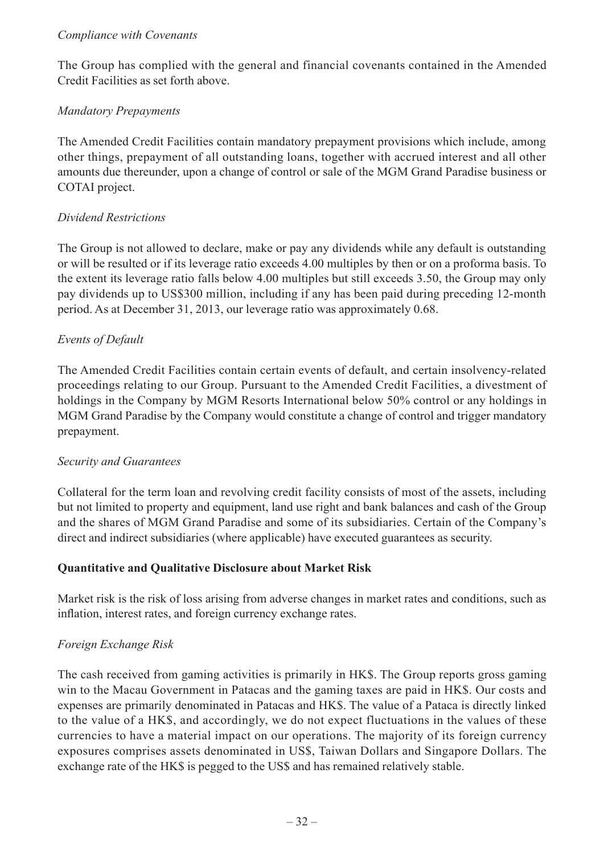#### *Compliance with Covenants*

The Group has complied with the general and financial covenants contained in the Amended Credit Facilities as set forth above.

### *Mandatory Prepayments*

The Amended Credit Facilities contain mandatory prepayment provisions which include, among other things, prepayment of all outstanding loans, together with accrued interest and all other amounts due thereunder, upon a change of control or sale of the MGM Grand Paradise business or COTAI project.

### *Dividend Restrictions*

The Group is not allowed to declare, make or pay any dividends while any default is outstanding or will be resulted or if its leverage ratio exceeds 4.00 multiples by then or on a proforma basis. To the extent its leverage ratio falls below 4.00 multiples but still exceeds 3.50, the Group may only pay dividends up to US\$300 million, including if any has been paid during preceding 12-month period. As at December 31, 2013, our leverage ratio was approximately 0.68.

# *Events of Default*

The Amended Credit Facilities contain certain events of default, and certain insolvency-related proceedings relating to our Group. Pursuant to the Amended Credit Facilities, a divestment of holdings in the Company by MGM Resorts International below 50% control or any holdings in MGM Grand Paradise by the Company would constitute a change of control and trigger mandatory prepayment.

### *Security and Guarantees*

Collateral for the term loan and revolving credit facility consists of most of the assets, including but not limited to property and equipment, land use right and bank balances and cash of the Group and the shares of MGM Grand Paradise and some of its subsidiaries. Certain of the Company's direct and indirect subsidiaries (where applicable) have executed guarantees as security.

### **Quantitative and Qualitative Disclosure about Market Risk**

Market risk is the risk of loss arising from adverse changes in market rates and conditions, such as inflation, interest rates, and foreign currency exchange rates.

### *Foreign Exchange Risk*

The cash received from gaming activities is primarily in HK\$. The Group reports gross gaming win to the Macau Government in Patacas and the gaming taxes are paid in HK\$. Our costs and expenses are primarily denominated in Patacas and HK\$. The value of a Pataca is directly linked to the value of a HK\$, and accordingly, we do not expect fluctuations in the values of these currencies to have a material impact on our operations. The majority of its foreign currency exposures comprises assets denominated in US\$, Taiwan Dollars and Singapore Dollars. The exchange rate of the HK\$ is pegged to the US\$ and has remained relatively stable.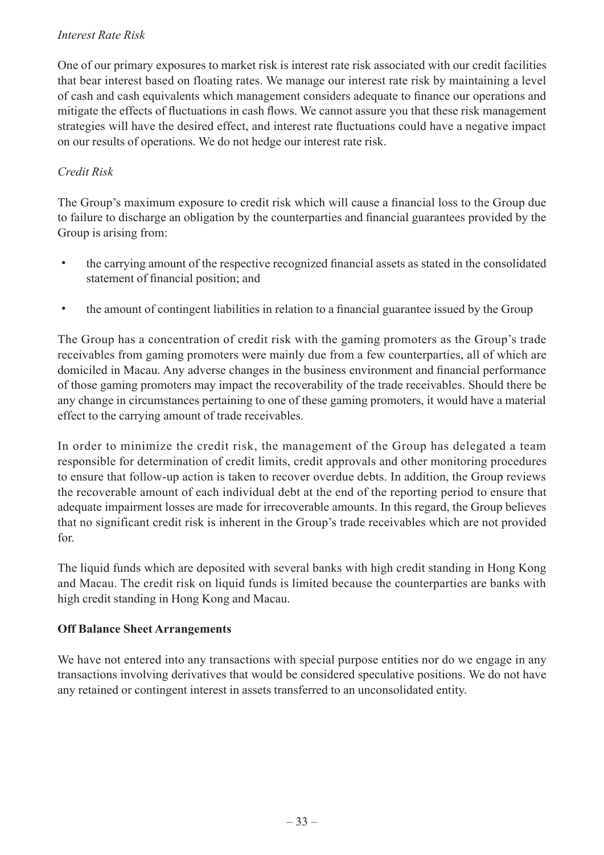### *Interest Rate Risk*

One of our primary exposures to market risk is interest rate risk associated with our credit facilities that bear interest based on floating rates. We manage our interest rate risk by maintaining a level of cash and cash equivalents which management considers adequate to finance our operations and mitigate the effects of fluctuations in cash flows. We cannot assure you that these risk management strategies will have the desired effect, and interest rate fluctuations could have a negative impact on our results of operations. We do not hedge our interest rate risk.

### *Credit Risk*

The Group's maximum exposure to credit risk which will cause a financial loss to the Group due to failure to discharge an obligation by the counterparties and financial guarantees provided by the Group is arising from:

- ˙ the carrying amount of the respective recognized financial assets as stated in the consolidated statement of financial position; and
- ˙ the amount of contingent liabilities in relation to a financial guarantee issued by the Group

The Group has a concentration of credit risk with the gaming promoters as the Group's trade receivables from gaming promoters were mainly due from a few counterparties, all of which are domiciled in Macau. Any adverse changes in the business environment and financial performance of those gaming promoters may impact the recoverability of the trade receivables. Should there be any change in circumstances pertaining to one of these gaming promoters, it would have a material effect to the carrying amount of trade receivables.

In order to minimize the credit risk, the management of the Group has delegated a team responsible for determination of credit limits, credit approvals and other monitoring procedures to ensure that follow-up action is taken to recover overdue debts. In addition, the Group reviews the recoverable amount of each individual debt at the end of the reporting period to ensure that adequate impairment losses are made for irrecoverable amounts. In this regard, the Group believes that no significant credit risk is inherent in the Group's trade receivables which are not provided for.

The liquid funds which are deposited with several banks with high credit standing in Hong Kong and Macau. The credit risk on liquid funds is limited because the counterparties are banks with high credit standing in Hong Kong and Macau.

### **Off Balance Sheet Arrangements**

We have not entered into any transactions with special purpose entities nor do we engage in any transactions involving derivatives that would be considered speculative positions. We do not have any retained or contingent interest in assets transferred to an unconsolidated entity.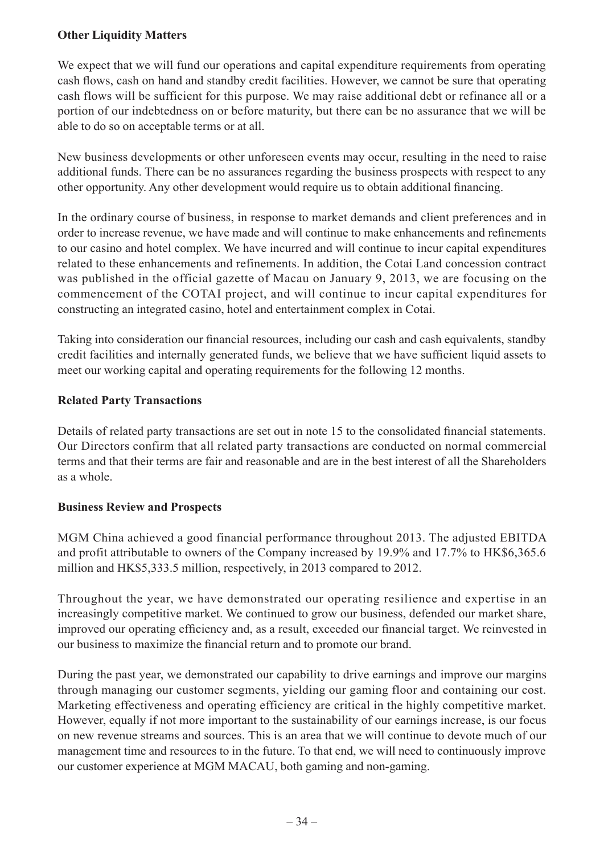### **Other Liquidity Matters**

We expect that we will fund our operations and capital expenditure requirements from operating cash flows, cash on hand and standby credit facilities. However, we cannot be sure that operating cash flows will be sufficient for this purpose. We may raise additional debt or refinance all or a portion of our indebtedness on or before maturity, but there can be no assurance that we will be able to do so on acceptable terms or at all.

New business developments or other unforeseen events may occur, resulting in the need to raise additional funds. There can be no assurances regarding the business prospects with respect to any other opportunity. Any other development would require us to obtain additional financing.

In the ordinary course of business, in response to market demands and client preferences and in order to increase revenue, we have made and will continue to make enhancements and refinements to our casino and hotel complex. We have incurred and will continue to incur capital expenditures related to these enhancements and refinements. In addition, the Cotai Land concession contract was published in the official gazette of Macau on January 9, 2013, we are focusing on the commencement of the COTAI project, and will continue to incur capital expenditures for constructing an integrated casino, hotel and entertainment complex in Cotai.

Taking into consideration our financial resources, including our cash and cash equivalents, standby credit facilities and internally generated funds, we believe that we have sufficient liquid assets to meet our working capital and operating requirements for the following 12 months.

### **Related Party Transactions**

Details of related party transactions are set out in note 15 to the consolidated financial statements. Our Directors confirm that all related party transactions are conducted on normal commercial terms and that their terms are fair and reasonable and are in the best interest of all the Shareholders as a whole.

### **Business Review and Prospects**

MGM China achieved a good financial performance throughout 2013. The adjusted EBITDA and profit attributable to owners of the Company increased by 19.9% and 17.7% to HK\$6,365.6 million and HK\$5,333.5 million, respectively, in 2013 compared to 2012.

Throughout the year, we have demonstrated our operating resilience and expertise in an increasingly competitive market. We continued to grow our business, defended our market share, improved our operating efficiency and, as a result, exceeded our financial target. We reinvested in our business to maximize the financial return and to promote our brand.

During the past year, we demonstrated our capability to drive earnings and improve our margins through managing our customer segments, yielding our gaming floor and containing our cost. Marketing effectiveness and operating efficiency are critical in the highly competitive market. However, equally if not more important to the sustainability of our earnings increase, is our focus on new revenue streams and sources. This is an area that we will continue to devote much of our management time and resources to in the future. To that end, we will need to continuously improve our customer experience at MGM MACAU, both gaming and non-gaming.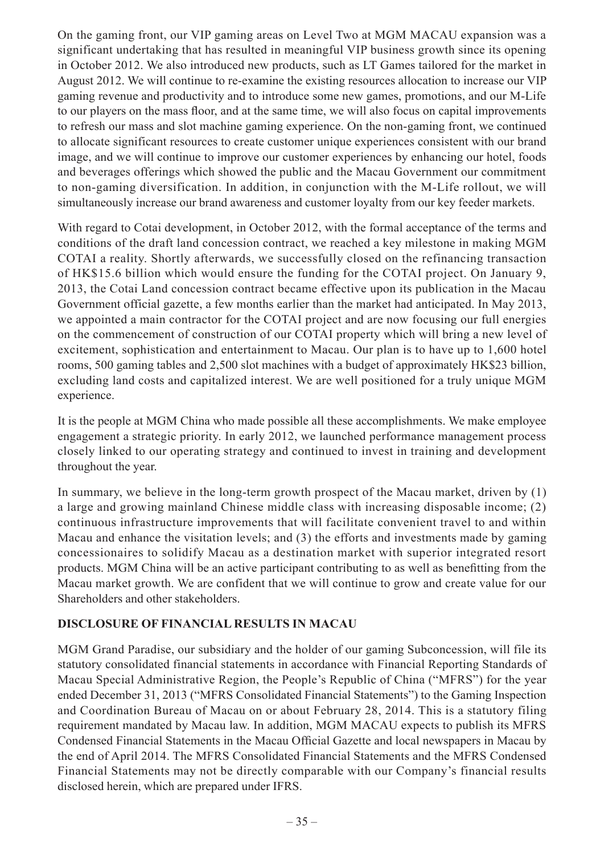On the gaming front, our VIP gaming areas on Level Two at MGM MACAU expansion was a significant undertaking that has resulted in meaningful VIP business growth since its opening in October 2012. We also introduced new products, such as LT Games tailored for the market in August 2012. We will continue to re-examine the existing resources allocation to increase our VIP gaming revenue and productivity and to introduce some new games, promotions, and our M-Life to our players on the mass floor, and at the same time, we will also focus on capital improvements to refresh our mass and slot machine gaming experience. On the non-gaming front, we continued to allocate significant resources to create customer unique experiences consistent with our brand image, and we will continue to improve our customer experiences by enhancing our hotel, foods and beverages offerings which showed the public and the Macau Government our commitment to non-gaming diversification. In addition, in conjunction with the M-Life rollout, we will simultaneously increase our brand awareness and customer loyalty from our key feeder markets.

With regard to Cotai development, in October 2012, with the formal acceptance of the terms and conditions of the draft land concession contract, we reached a key milestone in making MGM COTAI a reality. Shortly afterwards, we successfully closed on the refinancing transaction of HK\$15.6 billion which would ensure the funding for the COTAI project. On January 9, 2013, the Cotai Land concession contract became effective upon its publication in the Macau Government official gazette, a few months earlier than the market had anticipated. In May 2013, we appointed a main contractor for the COTAI project and are now focusing our full energies on the commencement of construction of our COTAI property which will bring a new level of excitement, sophistication and entertainment to Macau. Our plan is to have up to 1,600 hotel rooms, 500 gaming tables and 2,500 slot machines with a budget of approximately HK\$23 billion, excluding land costs and capitalized interest. We are well positioned for a truly unique MGM experience.

It is the people at MGM China who made possible all these accomplishments. We make employee engagement a strategic priority. In early 2012, we launched performance management process closely linked to our operating strategy and continued to invest in training and development throughout the year.

In summary, we believe in the long-term growth prospect of the Macau market, driven by (1) a large and growing mainland Chinese middle class with increasing disposable income; (2) continuous infrastructure improvements that will facilitate convenient travel to and within Macau and enhance the visitation levels; and (3) the efforts and investments made by gaming concessionaires to solidify Macau as a destination market with superior integrated resort products. MGM China will be an active participant contributing to as well as benefitting from the Macau market growth. We are confident that we will continue to grow and create value for our Shareholders and other stakeholders.

### **DISCLOSURE OF FINANCIAL RESULTS IN MACAU**

MGM Grand Paradise, our subsidiary and the holder of our gaming Subconcession, will file its statutory consolidated financial statements in accordance with Financial Reporting Standards of Macau Special Administrative Region, the People's Republic of China ("MFRS") for the year ended December 31, 2013 ("MFRS Consolidated Financial Statements") to the Gaming Inspection and Coordination Bureau of Macau on or about February 28, 2014. This is a statutory filing requirement mandated by Macau law. In addition, MGM MACAU expects to publish its MFRS Condensed Financial Statements in the Macau Official Gazette and local newspapers in Macau by the end of April 2014. The MFRS Consolidated Financial Statements and the MFRS Condensed Financial Statements may not be directly comparable with our Company's financial results disclosed herein, which are prepared under IFRS.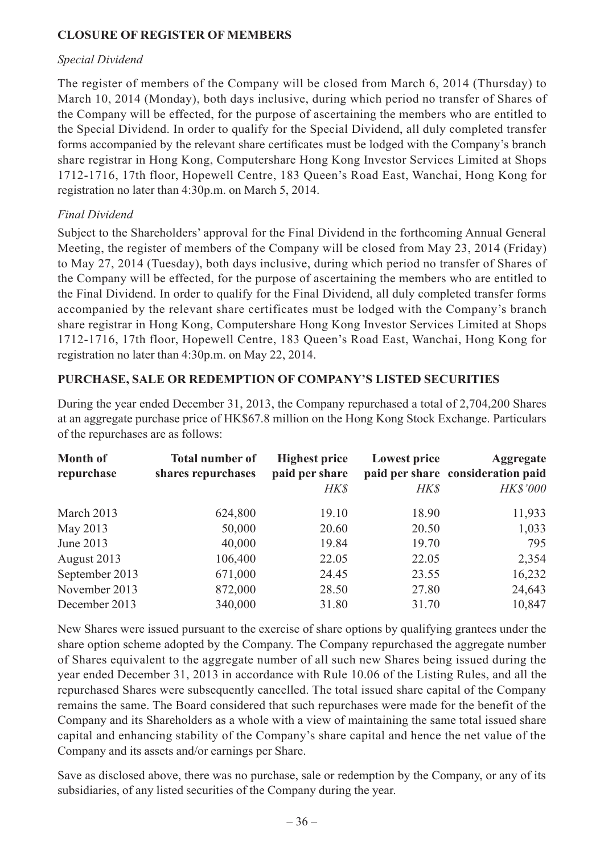### **CLOSURE OF REGISTER OF MEMBERS**

#### *Special Dividend*

The register of members of the Company will be closed from March 6, 2014 (Thursday) to March 10, 2014 (Monday), both days inclusive, during which period no transfer of Shares of the Company will be effected, for the purpose of ascertaining the members who are entitled to the Special Dividend. In order to qualify for the Special Dividend, all duly completed transfer forms accompanied by the relevant share certificates must be lodged with the Company's branch share registrar in Hong Kong, Computershare Hong Kong Investor Services Limited at Shops 1712-1716, 17th floor, Hopewell Centre, 183 Queen's Road East, Wanchai, Hong Kong for registration no later than 4:30p.m. on March 5, 2014.

### *Final Dividend*

Subject to the Shareholders' approval for the Final Dividend in the forthcoming Annual General Meeting, the register of members of the Company will be closed from May 23, 2014 (Friday) to May 27, 2014 (Tuesday), both days inclusive, during which period no transfer of Shares of the Company will be effected, for the purpose of ascertaining the members who are entitled to the Final Dividend. In order to qualify for the Final Dividend, all duly completed transfer forms accompanied by the relevant share certificates must be lodged with the Company's branch share registrar in Hong Kong, Computershare Hong Kong Investor Services Limited at Shops 1712-1716, 17th floor, Hopewell Centre, 183 Queen's Road East, Wanchai, Hong Kong for registration no later than 4:30p.m. on May 22, 2014.

#### **PURCHASE, SALE OR REDEMPTION OF COMPANY'S LISTED SECURITIES**

During the year ended December 31, 2013, the Company repurchased a total of 2,704,200 Shares at an aggregate purchase price of HK\$67.8 million on the Hong Kong Stock Exchange. Particulars of the repurchases are as follows:

| <b>Month of</b><br>repurchase | <b>Total number of</b><br>shares repurchases | <b>Highest price</b><br>paid per share<br><b>HK\$</b> | <b>Lowest price</b><br><b>HK\$</b> | <b>Aggregate</b><br>paid per share consideration paid<br><b>HK\$'000</b> |
|-------------------------------|----------------------------------------------|-------------------------------------------------------|------------------------------------|--------------------------------------------------------------------------|
| March 2013                    | 624,800                                      | 19.10                                                 | 18.90                              | 11,933                                                                   |
| May 2013                      | 50,000                                       | 20.60                                                 | 20.50                              | 1,033                                                                    |
| June 2013                     | 40,000                                       | 19.84                                                 | 19.70                              | 795                                                                      |
| August 2013                   | 106,400                                      | 22.05                                                 | 22.05                              | 2,354                                                                    |
| September 2013                | 671,000                                      | 24.45                                                 | 23.55                              | 16,232                                                                   |
| November 2013                 | 872,000                                      | 28.50                                                 | 27.80                              | 24,643                                                                   |
| December 2013                 | 340,000                                      | 31.80                                                 | 31.70                              | 10,847                                                                   |

New Shares were issued pursuant to the exercise of share options by qualifying grantees under the share option scheme adopted by the Company. The Company repurchased the aggregate number of Shares equivalent to the aggregate number of all such new Shares being issued during the year ended December 31, 2013 in accordance with Rule 10.06 of the Listing Rules, and all the repurchased Shares were subsequently cancelled. The total issued share capital of the Company remains the same. The Board considered that such repurchases were made for the benefit of the Company and its Shareholders as a whole with a view of maintaining the same total issued share capital and enhancing stability of the Company's share capital and hence the net value of the Company and its assets and/or earnings per Share.

Save as disclosed above, there was no purchase, sale or redemption by the Company, or any of its subsidiaries, of any listed securities of the Company during the year.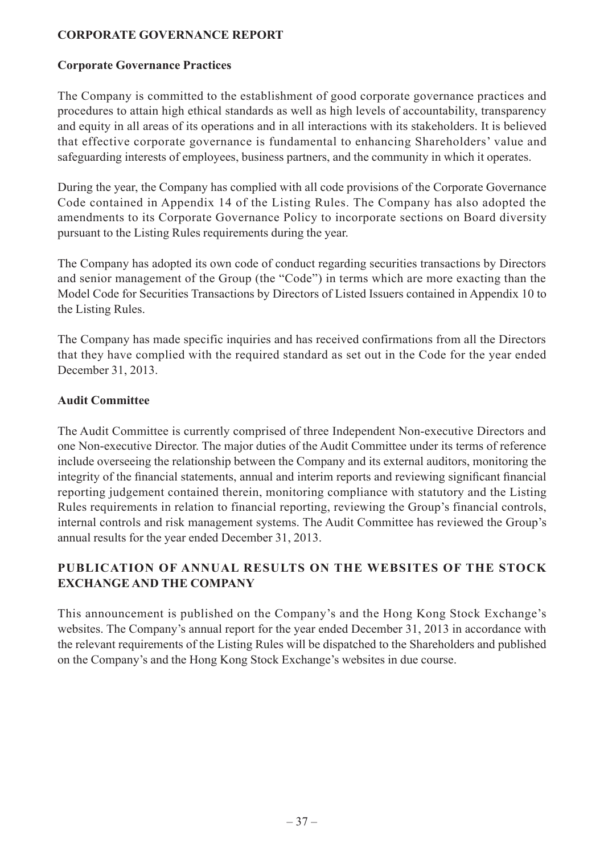### **CORPORATE GOVERNANCE REPORT**

#### **Corporate Governance Practices**

The Company is committed to the establishment of good corporate governance practices and procedures to attain high ethical standards as well as high levels of accountability, transparency and equity in all areas of its operations and in all interactions with its stakeholders. It is believed that effective corporate governance is fundamental to enhancing Shareholders' value and safeguarding interests of employees, business partners, and the community in which it operates.

During the year, the Company has complied with all code provisions of the Corporate Governance Code contained in Appendix 14 of the Listing Rules. The Company has also adopted the amendments to its Corporate Governance Policy to incorporate sections on Board diversity pursuant to the Listing Rules requirements during the year.

The Company has adopted its own code of conduct regarding securities transactions by Directors and senior management of the Group (the "Code") in terms which are more exacting than the Model Code for Securities Transactions by Directors of Listed Issuers contained in Appendix 10 to the Listing Rules.

The Company has made specific inquiries and has received confirmations from all the Directors that they have complied with the required standard as set out in the Code for the year ended December 31, 2013.

#### **Audit Committee**

The Audit Committee is currently comprised of three Independent Non-executive Directors and one Non-executive Director. The major duties of the Audit Committee under its terms of reference include overseeing the relationship between the Company and its external auditors, monitoring the integrity of the financial statements, annual and interim reports and reviewing significant financial reporting judgement contained therein, monitoring compliance with statutory and the Listing Rules requirements in relation to financial reporting, reviewing the Group's financial controls, internal controls and risk management systems. The Audit Committee has reviewed the Group's annual results for the year ended December 31, 2013.

### **PUBLICATION OF ANNUAL RESULTS ON THE WEBSITES OF THE STOCK EXCHANGE AND THE COMPANY**

This announcement is published on the Company's and the Hong Kong Stock Exchange's websites. The Company's annual report for the year ended December 31, 2013 in accordance with the relevant requirements of the Listing Rules will be dispatched to the Shareholders and published on the Company's and the Hong Kong Stock Exchange's websites in due course.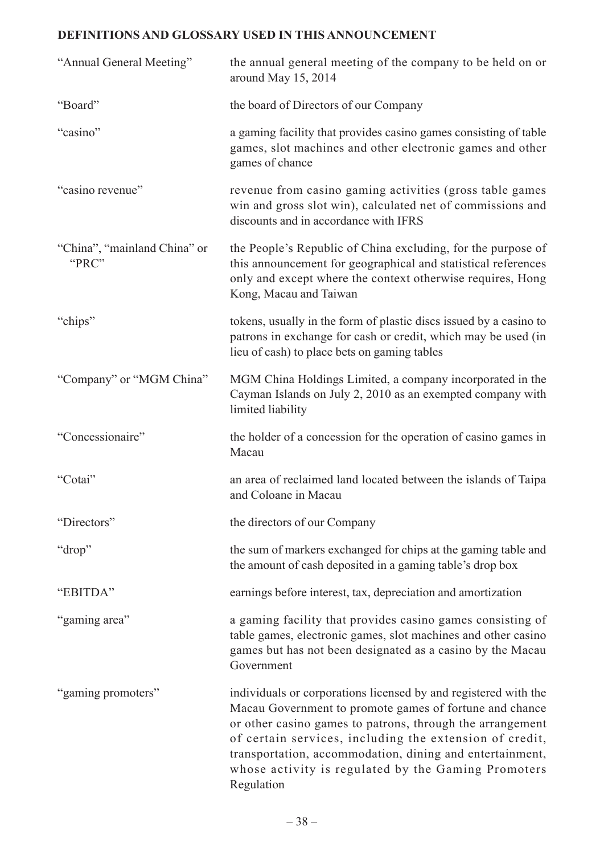# **DEFINITIONS AND GLOSSARY USED IN THIS ANNOUNCEMENT**

| "Annual General Meeting"              | the annual general meeting of the company to be held on or<br>around May 15, 2014                                                                                                                                                                                                                                                                                                   |
|---------------------------------------|-------------------------------------------------------------------------------------------------------------------------------------------------------------------------------------------------------------------------------------------------------------------------------------------------------------------------------------------------------------------------------------|
| "Board"                               | the board of Directors of our Company                                                                                                                                                                                                                                                                                                                                               |
| "casino"                              | a gaming facility that provides casino games consisting of table<br>games, slot machines and other electronic games and other<br>games of chance                                                                                                                                                                                                                                    |
| "casino revenue"                      | revenue from casino gaming activities (gross table games<br>win and gross slot win), calculated net of commissions and<br>discounts and in accordance with IFRS                                                                                                                                                                                                                     |
| "China", "mainland China" or<br>"PRC" | the People's Republic of China excluding, for the purpose of<br>this announcement for geographical and statistical references<br>only and except where the context otherwise requires, Hong<br>Kong, Macau and Taiwan                                                                                                                                                               |
| "chips"                               | tokens, usually in the form of plastic discs issued by a casino to<br>patrons in exchange for cash or credit, which may be used (in<br>lieu of cash) to place bets on gaming tables                                                                                                                                                                                                 |
| "Company" or "MGM China"              | MGM China Holdings Limited, a company incorporated in the<br>Cayman Islands on July 2, 2010 as an exempted company with<br>limited liability                                                                                                                                                                                                                                        |
| "Concessionaire"                      | the holder of a concession for the operation of casino games in<br>Macau                                                                                                                                                                                                                                                                                                            |
| "Cotai"                               | an area of reclaimed land located between the islands of Taipa<br>and Coloane in Macau                                                                                                                                                                                                                                                                                              |
| "Directors"                           | the directors of our Company                                                                                                                                                                                                                                                                                                                                                        |
| "drop"                                | the sum of markers exchanged for chips at the gaming table and<br>the amount of cash deposited in a gaming table's drop box                                                                                                                                                                                                                                                         |
| "EBITDA"                              | earnings before interest, tax, depreciation and amortization                                                                                                                                                                                                                                                                                                                        |
| "gaming area"                         | a gaming facility that provides casino games consisting of<br>table games, electronic games, slot machines and other casino<br>games but has not been designated as a casino by the Macau<br>Government                                                                                                                                                                             |
| "gaming promoters"                    | individuals or corporations licensed by and registered with the<br>Macau Government to promote games of fortune and chance<br>or other casino games to patrons, through the arrangement<br>of certain services, including the extension of credit,<br>transportation, accommodation, dining and entertainment,<br>whose activity is regulated by the Gaming Promoters<br>Regulation |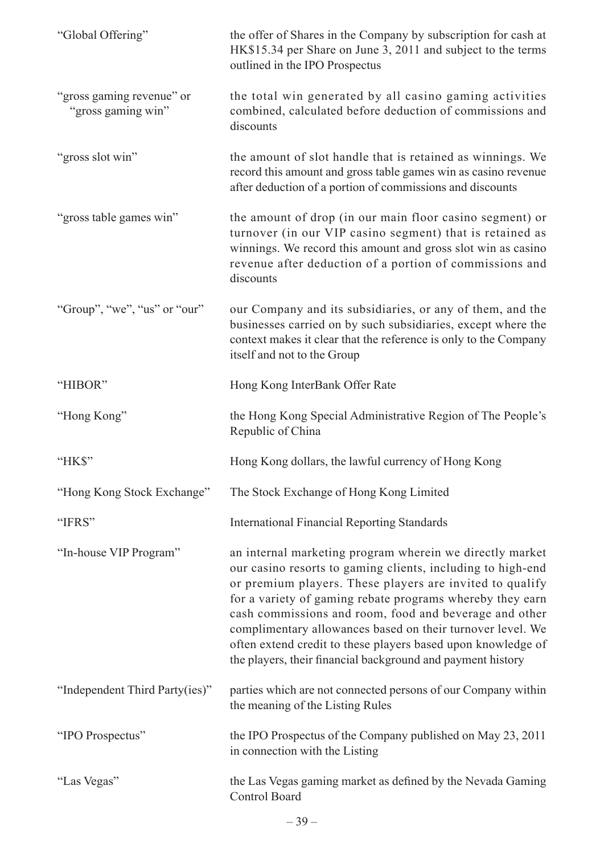| "Global Offering"                               | the offer of Shares in the Company by subscription for cash at<br>HK\$15.34 per Share on June 3, 2011 and subject to the terms<br>outlined in the IPO Prospectus                                                                                                                                                                                                                                                                                                                                        |
|-------------------------------------------------|---------------------------------------------------------------------------------------------------------------------------------------------------------------------------------------------------------------------------------------------------------------------------------------------------------------------------------------------------------------------------------------------------------------------------------------------------------------------------------------------------------|
| "gross gaming revenue" or<br>"gross gaming win" | the total win generated by all casino gaming activities<br>combined, calculated before deduction of commissions and<br>discounts                                                                                                                                                                                                                                                                                                                                                                        |
| "gross slot win"                                | the amount of slot handle that is retained as winnings. We<br>record this amount and gross table games win as casino revenue<br>after deduction of a portion of commissions and discounts                                                                                                                                                                                                                                                                                                               |
| "gross table games win"                         | the amount of drop (in our main floor casino segment) or<br>turnover (in our VIP casino segment) that is retained as<br>winnings. We record this amount and gross slot win as casino<br>revenue after deduction of a portion of commissions and<br>discounts                                                                                                                                                                                                                                            |
| "Group", "we", "us" or "our"                    | our Company and its subsidiaries, or any of them, and the<br>businesses carried on by such subsidiaries, except where the<br>context makes it clear that the reference is only to the Company<br>itself and not to the Group                                                                                                                                                                                                                                                                            |
| "HIBOR"                                         | Hong Kong InterBank Offer Rate                                                                                                                                                                                                                                                                                                                                                                                                                                                                          |
| "Hong Kong"                                     | the Hong Kong Special Administrative Region of The People's<br>Republic of China                                                                                                                                                                                                                                                                                                                                                                                                                        |
| "HK\$"                                          | Hong Kong dollars, the lawful currency of Hong Kong                                                                                                                                                                                                                                                                                                                                                                                                                                                     |
| "Hong Kong Stock Exchange"                      | The Stock Exchange of Hong Kong Limited                                                                                                                                                                                                                                                                                                                                                                                                                                                                 |
| "IFRS"                                          | <b>International Financial Reporting Standards</b>                                                                                                                                                                                                                                                                                                                                                                                                                                                      |
| "In-house VIP Program"                          | an internal marketing program wherein we directly market<br>our casino resorts to gaming clients, including to high-end<br>or premium players. These players are invited to qualify<br>for a variety of gaming rebate programs whereby they earn<br>cash commissions and room, food and beverage and other<br>complimentary allowances based on their turnover level. We<br>often extend credit to these players based upon knowledge of<br>the players, their financial background and payment history |
| "Independent Third Party(ies)"                  | parties which are not connected persons of our Company within<br>the meaning of the Listing Rules                                                                                                                                                                                                                                                                                                                                                                                                       |
| "IPO Prospectus"                                | the IPO Prospectus of the Company published on May 23, 2011<br>in connection with the Listing                                                                                                                                                                                                                                                                                                                                                                                                           |
| "Las Vegas"                                     | the Las Vegas gaming market as defined by the Nevada Gaming<br>Control Board                                                                                                                                                                                                                                                                                                                                                                                                                            |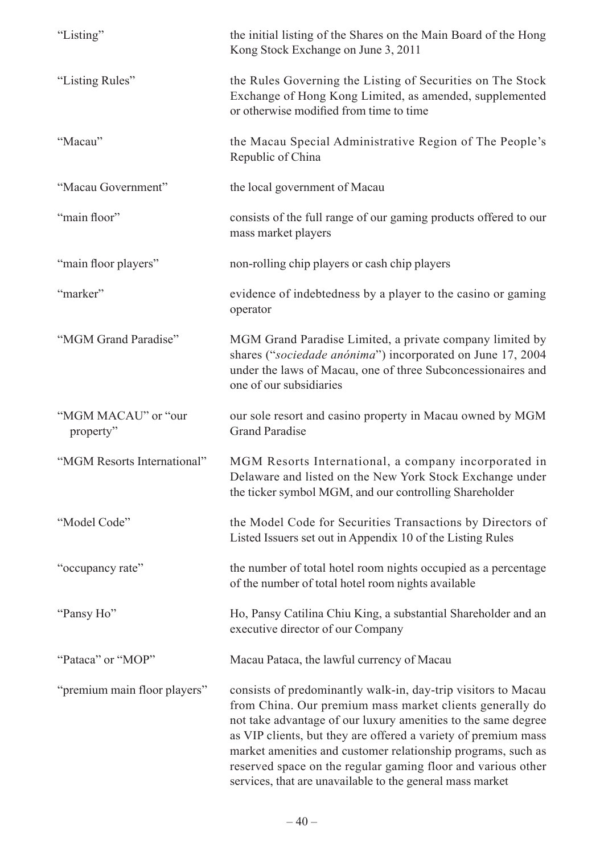| "Listing"                        | the initial listing of the Shares on the Main Board of the Hong<br>Kong Stock Exchange on June 3, 2011                                                                                                                                                                                                                                                                                                                                                    |
|----------------------------------|-----------------------------------------------------------------------------------------------------------------------------------------------------------------------------------------------------------------------------------------------------------------------------------------------------------------------------------------------------------------------------------------------------------------------------------------------------------|
| "Listing Rules"                  | the Rules Governing the Listing of Securities on The Stock<br>Exchange of Hong Kong Limited, as amended, supplemented<br>or otherwise modified from time to time                                                                                                                                                                                                                                                                                          |
| "Macau"                          | the Macau Special Administrative Region of The People's<br>Republic of China                                                                                                                                                                                                                                                                                                                                                                              |
| "Macau Government"               | the local government of Macau                                                                                                                                                                                                                                                                                                                                                                                                                             |
| "main floor"                     | consists of the full range of our gaming products offered to our<br>mass market players                                                                                                                                                                                                                                                                                                                                                                   |
| "main floor players"             | non-rolling chip players or cash chip players                                                                                                                                                                                                                                                                                                                                                                                                             |
| "marker"                         | evidence of indebtedness by a player to the casino or gaming<br>operator                                                                                                                                                                                                                                                                                                                                                                                  |
| "MGM Grand Paradise"             | MGM Grand Paradise Limited, a private company limited by<br>shares ("sociedade anónima") incorporated on June 17, 2004<br>under the laws of Macau, one of three Subconcessionaires and<br>one of our subsidiaries                                                                                                                                                                                                                                         |
| "MGM MACAU" or "our<br>property" | our sole resort and casino property in Macau owned by MGM<br><b>Grand Paradise</b>                                                                                                                                                                                                                                                                                                                                                                        |
| "MGM Resorts International"      | MGM Resorts International, a company incorporated in<br>Delaware and listed on the New York Stock Exchange under<br>the ticker symbol MGM, and our controlling Shareholder                                                                                                                                                                                                                                                                                |
| "Model Code"                     | the Model Code for Securities Transactions by Directors of<br>Listed Issuers set out in Appendix 10 of the Listing Rules                                                                                                                                                                                                                                                                                                                                  |
| "occupancy rate"                 | the number of total hotel room nights occupied as a percentage<br>of the number of total hotel room nights available                                                                                                                                                                                                                                                                                                                                      |
| "Pansy Ho"                       | Ho, Pansy Catilina Chiu King, a substantial Shareholder and an<br>executive director of our Company                                                                                                                                                                                                                                                                                                                                                       |
| "Pataca" or "MOP"                | Macau Pataca, the lawful currency of Macau                                                                                                                                                                                                                                                                                                                                                                                                                |
| "premium main floor players"     | consists of predominantly walk-in, day-trip visitors to Macau<br>from China. Our premium mass market clients generally do<br>not take advantage of our luxury amenities to the same degree<br>as VIP clients, but they are offered a variety of premium mass<br>market amenities and customer relationship programs, such as<br>reserved space on the regular gaming floor and various other<br>services, that are unavailable to the general mass market |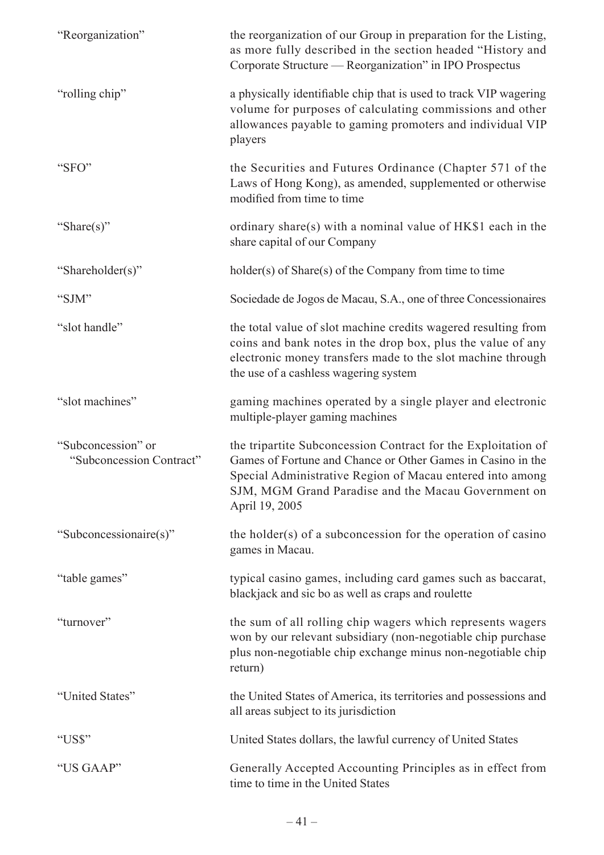| "Reorganization"                               | the reorganization of our Group in preparation for the Listing,<br>as more fully described in the section headed "History and<br>Corporate Structure — Reorganization" in IPO Prospectus                                                                           |
|------------------------------------------------|--------------------------------------------------------------------------------------------------------------------------------------------------------------------------------------------------------------------------------------------------------------------|
| "rolling chip"                                 | a physically identifiable chip that is used to track VIP wagering<br>volume for purposes of calculating commissions and other<br>allowances payable to gaming promoters and individual VIP<br>players                                                              |
| "SFO"                                          | the Securities and Futures Ordinance (Chapter 571 of the<br>Laws of Hong Kong), as amended, supplemented or otherwise<br>modified from time to time                                                                                                                |
| "Share(s)"                                     | ordinary share(s) with a nominal value of HK\$1 each in the<br>share capital of our Company                                                                                                                                                                        |
| "Shareholder(s)"                               | holder(s) of Share(s) of the Company from time to time                                                                                                                                                                                                             |
| "SJM"                                          | Sociedade de Jogos de Macau, S.A., one of three Concessionaires                                                                                                                                                                                                    |
| "slot handle"                                  | the total value of slot machine credits wagered resulting from<br>coins and bank notes in the drop box, plus the value of any<br>electronic money transfers made to the slot machine through<br>the use of a cashless wagering system                              |
| "slot machines"                                | gaming machines operated by a single player and electronic<br>multiple-player gaming machines                                                                                                                                                                      |
| "Subconcession" or<br>"Subconcession Contract" | the tripartite Subconcession Contract for the Exploitation of<br>Games of Fortune and Chance or Other Games in Casino in the<br>Special Administrative Region of Macau entered into among<br>SJM, MGM Grand Paradise and the Macau Government on<br>April 19, 2005 |
| "Subconcessionaire(s)"                         | the holder(s) of a subconcession for the operation of casino<br>games in Macau.                                                                                                                                                                                    |
| "table games"                                  | typical casino games, including card games such as baccarat,<br>blackjack and sic bo as well as craps and roulette                                                                                                                                                 |
| "turnover"                                     | the sum of all rolling chip wagers which represents wagers<br>won by our relevant subsidiary (non-negotiable chip purchase<br>plus non-negotiable chip exchange minus non-negotiable chip<br>return)                                                               |
| "United States"                                | the United States of America, its territories and possessions and<br>all areas subject to its jurisdiction                                                                                                                                                         |
| "US\$"                                         | United States dollars, the lawful currency of United States                                                                                                                                                                                                        |
| "US GAAP"                                      | Generally Accepted Accounting Principles as in effect from<br>time to time in the United States                                                                                                                                                                    |